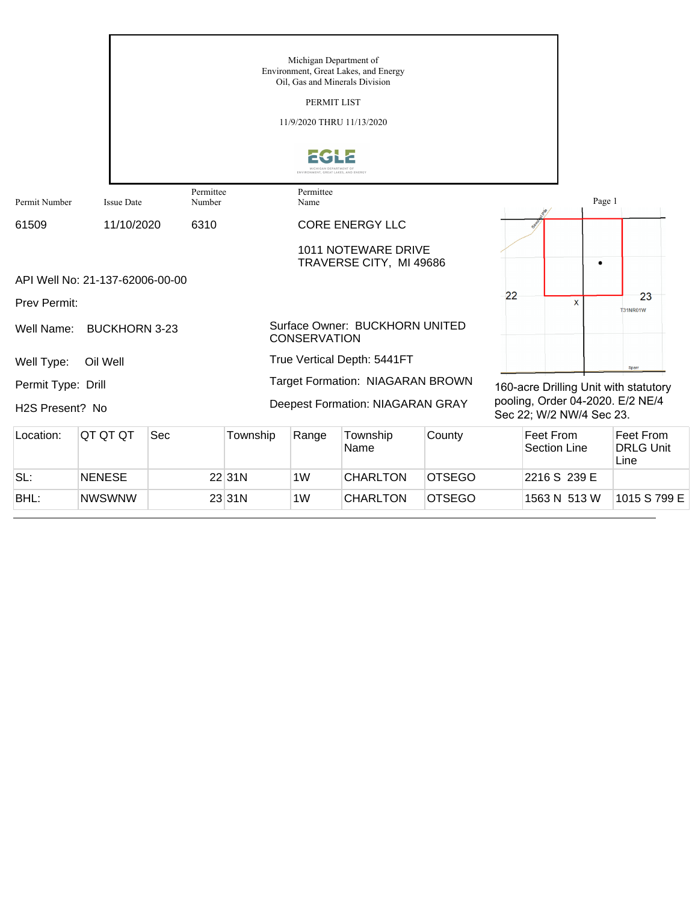|                              |                                 |                     |          | Michigan Department of<br>PERMIT LIST<br>11/9/2020 THRU 11/13/2020 | Environment, Great Lakes, and Energy<br>Oil, Gas and Minerals Division |        |    |                                                              |        |                                       |
|------------------------------|---------------------------------|---------------------|----------|--------------------------------------------------------------------|------------------------------------------------------------------------|--------|----|--------------------------------------------------------------|--------|---------------------------------------|
|                              |                                 |                     |          | <b>ICHICAN DEPARTMENT O</b><br>ENVIRONMENT, GREAT LAKES, AND ENERO |                                                                        |        |    |                                                              |        |                                       |
| Permit Number                | <b>Issue Date</b>               | Permittee<br>Number |          | Permittee<br>Name                                                  |                                                                        |        |    |                                                              | Page 1 |                                       |
| 61509                        | 11/10/2020                      | 6310                |          |                                                                    | <b>CORE ENERGY LLC</b>                                                 |        |    |                                                              |        |                                       |
|                              |                                 |                     |          |                                                                    | <b>1011 NOTEWARE DRIVE</b><br>TRAVERSE CITY, MI 49686                  |        |    |                                                              | ٠      |                                       |
|                              | API Well No: 21-137-62006-00-00 |                     |          |                                                                    |                                                                        |        |    |                                                              |        |                                       |
| Prev Permit:                 |                                 |                     |          |                                                                    |                                                                        |        | 22 | X                                                            |        | 23<br><b>T31NR01W</b>                 |
| Well Name:                   | <b>BUCKHORN 3-23</b>            |                     |          | <b>CONSERVATION</b>                                                | Surface Owner: BUCKHORN UNITED                                         |        |    |                                                              |        |                                       |
| Well Type:                   | Oil Well                        |                     |          |                                                                    | True Vertical Depth: 5441FT                                            |        |    |                                                              |        | Sparr                                 |
| Permit Type: Drill           |                                 |                     |          |                                                                    | <b>Target Formation: NIAGARAN BROWN</b>                                |        |    |                                                              |        | 160-acre Drilling Unit with statutory |
| H <sub>2</sub> S Present? No |                                 |                     |          |                                                                    | Deepest Formation: NIAGARAN GRAY                                       |        |    | pooling, Order 04-2020. E/2 NE/4<br>Sec 22; W/2 NW/4 Sec 23. |        |                                       |
| Location:                    | QT QT QT                        | Sec                 | Township | Range                                                              | Township<br>Name                                                       | County |    | <b>Feet From</b><br><b>Section Line</b>                      |        | Feet From<br><b>DRLG Unit</b><br>Line |

SL: NENESE 22 31N 1W CHARLTON OTSEGO 2216 S 239 E

BHL: NWSWNW 23 31N 1W CHARLTON OTSEGO 1563 N 513 W 1015 S 799 E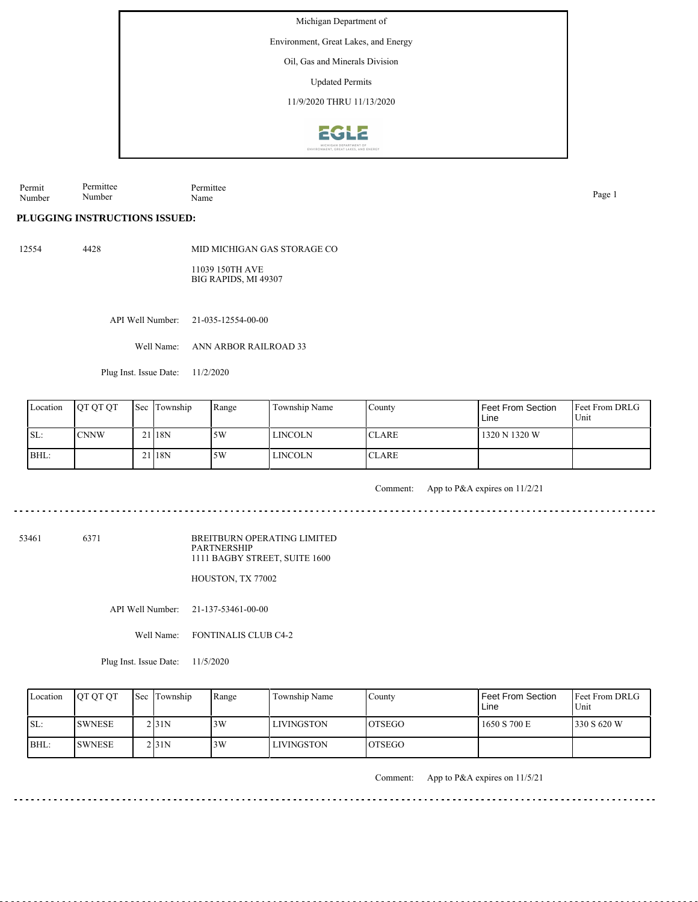Environment, Great Lakes, and Energy

Oil, Gas and Minerals Division

Updated Permits

11/9/2020 THRU 11/13/2020



Permit Number Permittee Number Permittee Name Page 1

**PLUGGING INSTRUCTIONS ISSUED:**

12554 4428

MID MICHIGAN GAS STORAGE CO

11039 150TH AVE BIG RAPIDS, MI 49307

API Well Number: 21-035-12554-00-00

Well Name: ANN ARBOR RAILROAD 33

Plug Inst. Issue Date: 11/2/2020

| Location | <b>OT OT OT</b> | <b>Sec</b> Township | Range | Township Name  | County        | Feet From Section<br>Line | <b>Feet From DRLG</b><br>Unit |
|----------|-----------------|---------------------|-------|----------------|---------------|---------------------------|-------------------------------|
| SL:      | <b>CNNW</b>     | $21$  18N           | 15W   | <b>LINCOLN</b> | <b>ICLARE</b> | 1320 N 1320 W             |                               |
| BHL:     |                 | 21 <sub>18N</sub>   | .5W   | LINCOLN        | <b>ICLARE</b> |                           |                               |

 $\frac{1}{2}$ 

Comment: App to P&A expires on 11/2/21

53461 6371

BREITBURN OPERATING LIMITED PARTNERSHIP 1111 BAGBY STREET, SUITE 1600

HOUSTON, TX 77002

API Well Number: 21-137-53461-00-00

Well Name: FONTINALIS CLUB C4-2

Plug Inst. Issue Date: 11/5/2020

| Location | <b>OT OT OT</b> | Sec Township | Range | Township Name     | Countv         | Feet From Section<br>Line | <b>IFeet From DRLG</b><br>Unit |
|----------|-----------------|--------------|-------|-------------------|----------------|---------------------------|--------------------------------|
| ISL:     | <b>SWNESE</b>   | 2 3 1 N      | 3W    | <b>LIVINGSTON</b> | <b>IOTSEGO</b> | 1650 S 700 E              | 330 S 620 W                    |
| BHL:     | <b>SWNESE</b>   | 2131N        | 3W    | <b>LIVINGSTON</b> | <b>LOTSEGO</b> |                           |                                |

Comment: App to P&A expires on 11/5/21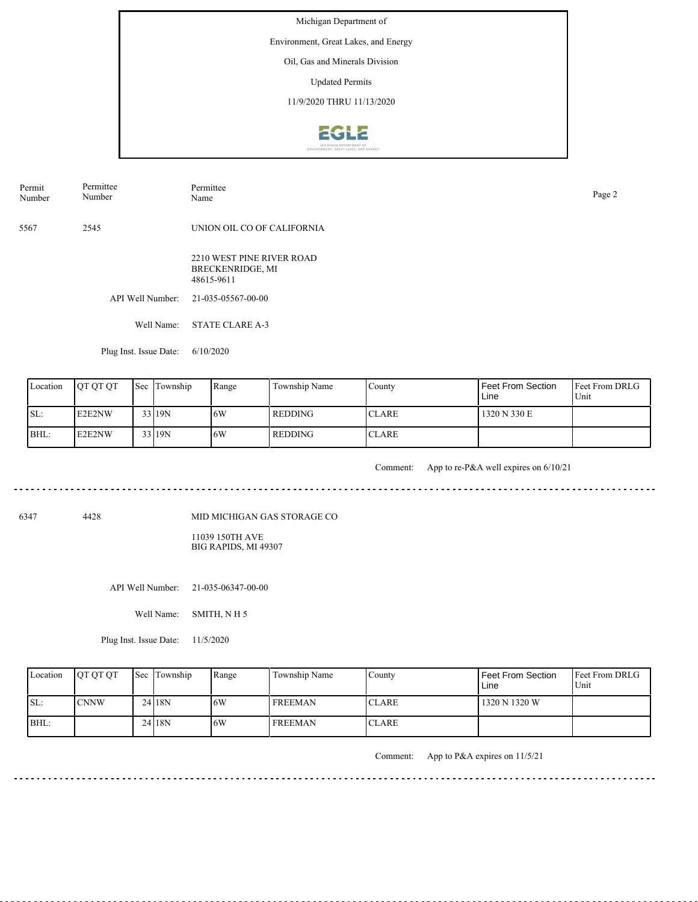Environment, Great Lakes, and Energy

Oil, Gas and Minerals Division

Updated Permits

11/9/2020 THRU 11/13/2020



| Permit | Permittee | Permittee                  | Page 2 |
|--------|-----------|----------------------------|--------|
| Number | Number    | Name                       |        |
| 5567   | 2545      | UNION OIL CO OF CALIFORNIA |        |

2210 WEST PINE RIVER ROAD BRECKENRIDGE, MI 48615-9611

API Well Number: 21-035-05567-00-00

Well Name: STATE CLARE A-3

Plug Inst. Issue Date: 6/10/2020

| Location | <b>OT OT OT</b> | <b>Sec</b> Township | Range | Township Name  | County       | Feet From Section<br>Line | <b>Feet From DRLG</b><br>Unit |
|----------|-----------------|---------------------|-------|----------------|--------------|---------------------------|-------------------------------|
| ISL:     | E2E2NW          | 33 19N              | 16W   | <b>REDDING</b> | <b>CLARE</b> | 1320 N 330 E              |                               |
| BHL:     | E2E2NW          | 33 19N              | 16W   | REDDING        | <b>CLARE</b> |                           |                               |

<u>. . . . . . . . . .</u>

Comment: App to re-P&A well expires on 6/10/21

. . . . . . . . . . . . . . . . .

. . . . . . . . . . . . . . . . . .

6347 4428

MID MICHIGAN GAS STORAGE CO

11039 150TH AVE BIG RAPIDS, MI 49307

API Well Number: 21-035-06347-00-00

Well Name: SMITH, N H 5

Plug Inst. Issue Date: 11/5/2020

| Location | <b>OT OT OT</b> | Sec Township | Range | Township Name  | Countv       | l Feet From Section<br>Line | <b>Feet From DRLG</b><br>Unit |
|----------|-----------------|--------------|-------|----------------|--------------|-----------------------------|-------------------------------|
| SL:      | <b>CNNW</b>     | 24 18N       | .6W   | <b>FREEMAN</b> | <b>CLARE</b> | 1320 N 1320 W               |                               |
| BHL:     |                 | 24 18N       | .6W   | <b>FREEMAN</b> | <b>CLARE</b> |                             |                               |

Comment: App to P&A expires on 11/5/21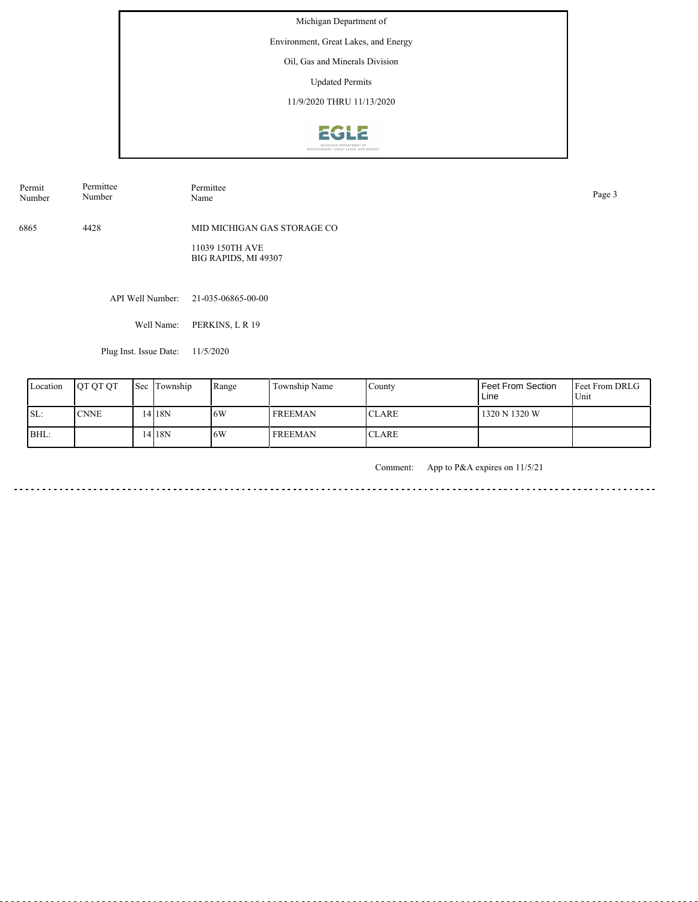Environment, Great Lakes, and Energy

Oil, Gas and Minerals Division

Updated Permits

11/9/2020 THRU 11/13/2020



6865 4428 MID MICHIGAN GAS STORAGE CO 11039 150TH AVE BIG RAPIDS, MI 49307 Permit Number Permittee Number Permittee<br>Name Name Page 3

API Well Number: 21-035-06865-00-00

Well Name: PERKINS, L R 19

Plug Inst. Issue Date: 11/5/2020

| Location | <b>OT OT OT</b> | <b>Sec</b> | Township | Range | Township Name  | County        | l Feet From Section<br>Line | <b>Feet From DRLG</b><br>Unit |
|----------|-----------------|------------|----------|-------|----------------|---------------|-----------------------------|-------------------------------|
| ISL:     | <b>CNNE</b>     |            | 4 18N    | 16W   | <b>FREEMAN</b> | ICLARE.       | 1320 N 1320 W               |                               |
| BHL:     |                 |            | 4 18N    | 6W    | <b>FREEMAN</b> | <b>ICLARE</b> |                             |                               |

Comment: App to P&A expires on 11/5/21

in a dia a dia <u>. . . . . . . . .</u>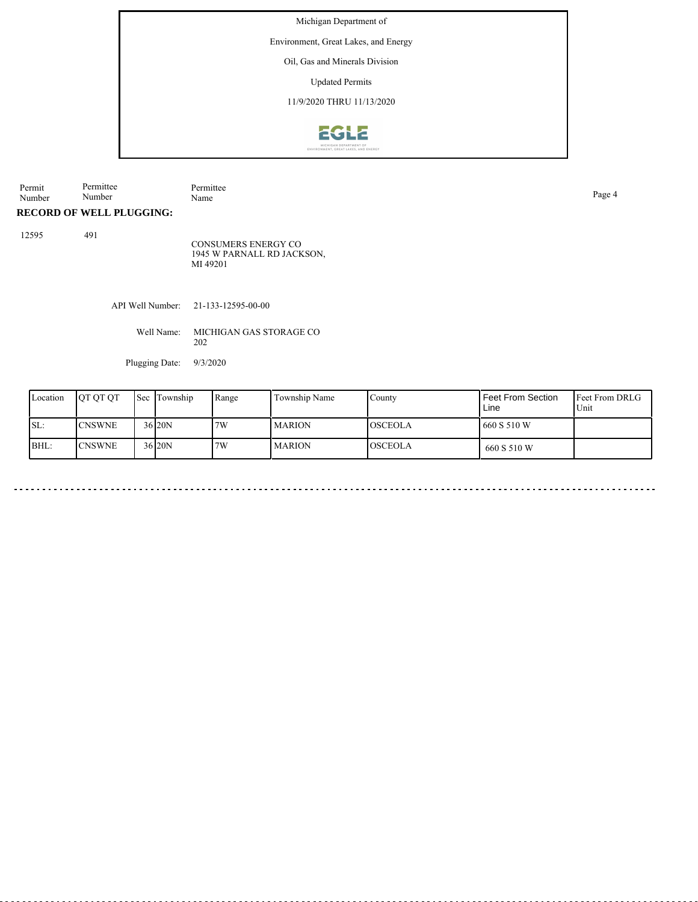Environment, Great Lakes, and Energy

Oil, Gas and Minerals Division

Updated Permits

11/9/2020 THRU 11/13/2020



| Permit | Permittee | Permittee |
|--------|-----------|-----------|
| Number | Number    | Name      |

Page 4

<u>. . . . . . . . . . . .</u>

# **RECORD OF WELL PLUGGING:**

12595 491

CONSUMERS ENERGY CO 1945 W PARNALL RD JACKSON, MI 49201

API Well Number: 21-133-12595-00-00

Well Name: MICHIGAN GAS STORAGE CO 202

Plugging Date: 9/3/2020

| Location | <b>OT OT OT</b> | Sec Township        | Range | Township Name | County         | I Feet From Section<br>Line | <b>Feet From DRLG</b><br>Unit |
|----------|-----------------|---------------------|-------|---------------|----------------|-----------------------------|-------------------------------|
| ISL:     | <b>CNSWNE</b>   | 36 <sub>120</sub> N | 7W    | <b>MARION</b> | <b>OSCEOLA</b> | 1660 S 510 W                |                               |
| BHL:     | <b>CNSWNE</b>   | 36 20N              | 7W    | <b>MARION</b> | <b>OSCEOLA</b> | 660 S 510 W                 |                               |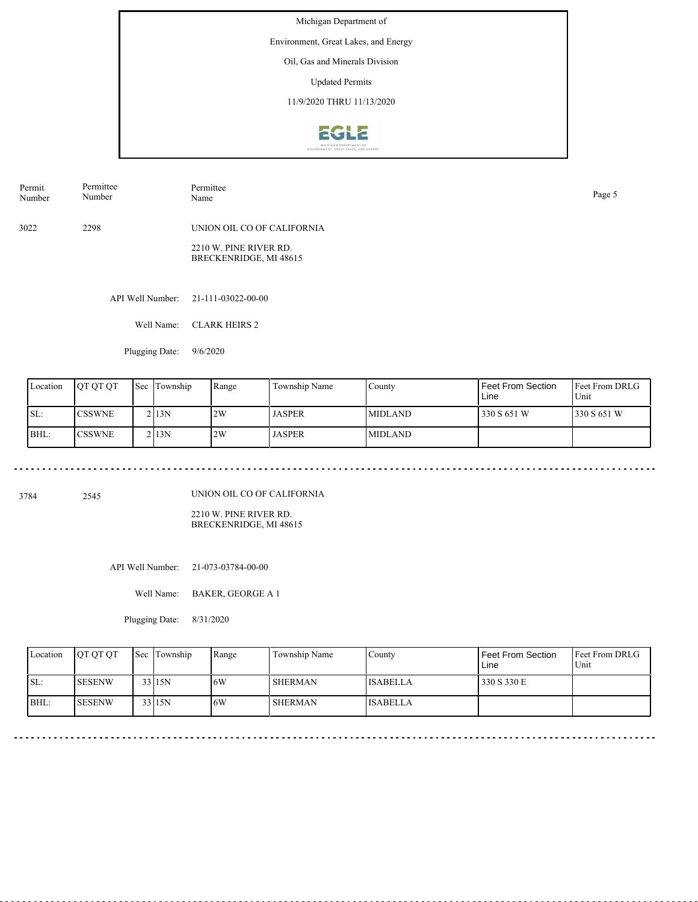Environment, Great Lakes, and Energy

Oil, Gas and Minerals Division

Updated Permits

11/9/2020 THRU 11/13/2020



| Permit<br>Number | Permittee<br>Number | Permittee<br>Name                                | Page 5 |
|------------------|---------------------|--------------------------------------------------|--------|
| 3022             | 2298                | UNION OIL CO OF CALIFORNIA                       |        |
|                  |                     | 2210 W. PINE RIVER RD.<br>BRECKENRIDGE, MI 48615 |        |

API Well Number: 21-111-03022-00-00

Well Name: CLARK HEIRS 2

Plugging Date: 9/6/2020

| Location | <b>IOT OT OT</b> | <b>Sec Township</b> | Range | Township Name | County          | Feet From Section<br>Line | <b>Feet From DRLG</b><br>Unit |
|----------|------------------|---------------------|-------|---------------|-----------------|---------------------------|-------------------------------|
| SL:      | <b>ICSSWNE</b>   | 213N                | 2W    | <b>JASPER</b> | <b>IMIDLAND</b> | 330 S 651 W               | 330 S 651 W                   |
| BHL:     | <b>CSSWNE</b>    | 213N                | 2W    | <b>JASPER</b> | <b>IMIDLAND</b> |                           |                               |

3784 2545

UNION OIL CO OF CALIFORNIA

2210 W. PINE RIVER RD. BRECKENRIDGE, MI 48615

API Well Number: 21-073-03784-00-00

Well Name: BAKER, GEORGE A 1

Plugging Date: 8/31/2020

| Location | <b>OT OT OT</b> | Sec Township | Range | Township Name  | County          | Feet From Section<br>Line | <b>Feet From DRLG</b><br>Unit |
|----------|-----------------|--------------|-------|----------------|-----------------|---------------------------|-------------------------------|
| ISL:     | <b>ISESENW</b>  | $33$  15N    | .6W   | <b>SHERMAN</b> | <b>ISABELLA</b> | 330 S 330 E               |                               |
| IBHL:    | <b>ISESENW</b>  | $33$ 15N     | .6W   | SHERMAN        | <b>ISABELLA</b> |                           |                               |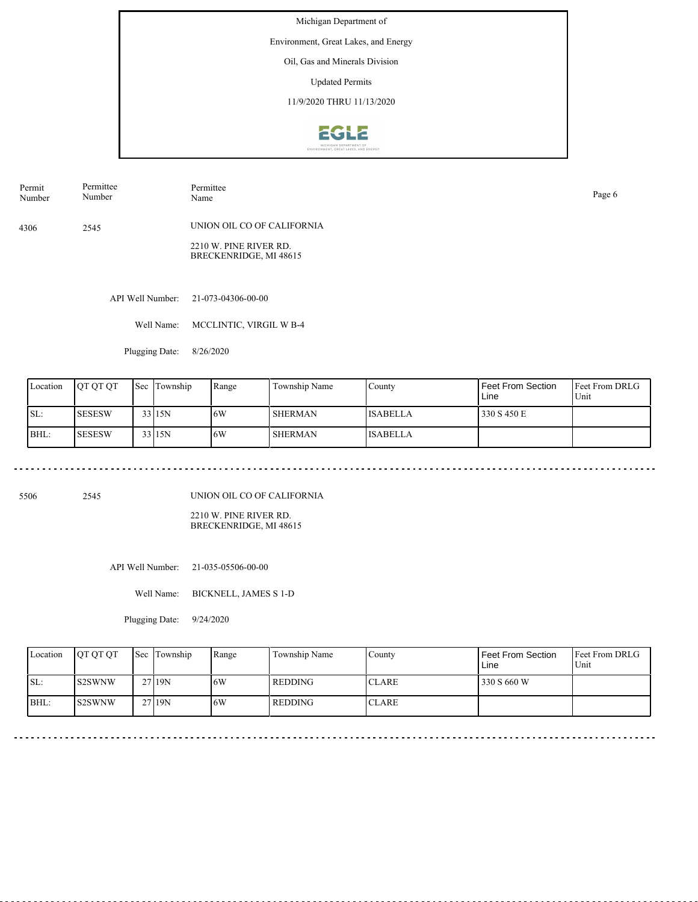Environment, Great Lakes, and Energy

Oil, Gas and Minerals Division

Updated Permits

11/9/2020 THRU 11/13/2020



4306 2545 Permit Number Permittee Number Permittee Name Page 6 UNION OIL CO OF CALIFORNIA

> 2210 W. PINE RIVER RD. BRECKENRIDGE, MI 48615

API Well Number: 21-073-04306-00-00

Well Name: MCCLINTIC, VIRGIL W B-4

Plugging Date: 8/26/2020

| Location | IOT OT OT     | <b>Sec Township</b> | Range | Township Name  | County          | Feet From Section<br>Line | <b>Feet From DRLG</b><br>Unit |
|----------|---------------|---------------------|-------|----------------|-----------------|---------------------------|-------------------------------|
| SL:      | <b>SESESW</b> | 33 15N              | 16W   | <b>SHERMAN</b> | <b>ISABELLA</b> | 330 S 450 E               |                               |
| BHL:     | <b>SESESW</b> | 33115N              | 16W   | <b>SHERMAN</b> | <b>ISABELLA</b> |                           |                               |

5506 2545

UNION OIL CO OF CALIFORNIA

2210 W. PINE RIVER RD. BRECKENRIDGE, MI 48615

API Well Number: 21-035-05506-00-00

Well Name: BICKNELL, JAMES S 1-D

Plugging Date: 9/24/2020

| Location | <b>OT OT OT</b> | <b>Sec</b> Township | Range | Township Name  | Countv       | Feet From Section<br>Line | <b>Feet From DRLG</b><br>Unit |
|----------|-----------------|---------------------|-------|----------------|--------------|---------------------------|-------------------------------|
| ISL:     | <b>S2SWNW</b>   | 2719N               | .6W   | <b>REDDING</b> | <b>CLARE</b> | 330 S 660 W               |                               |
| BHL:     | <b>S2SWNW</b>   | 27 19N              | .6W   | l REDDING-     | <b>CLARE</b> |                           |                               |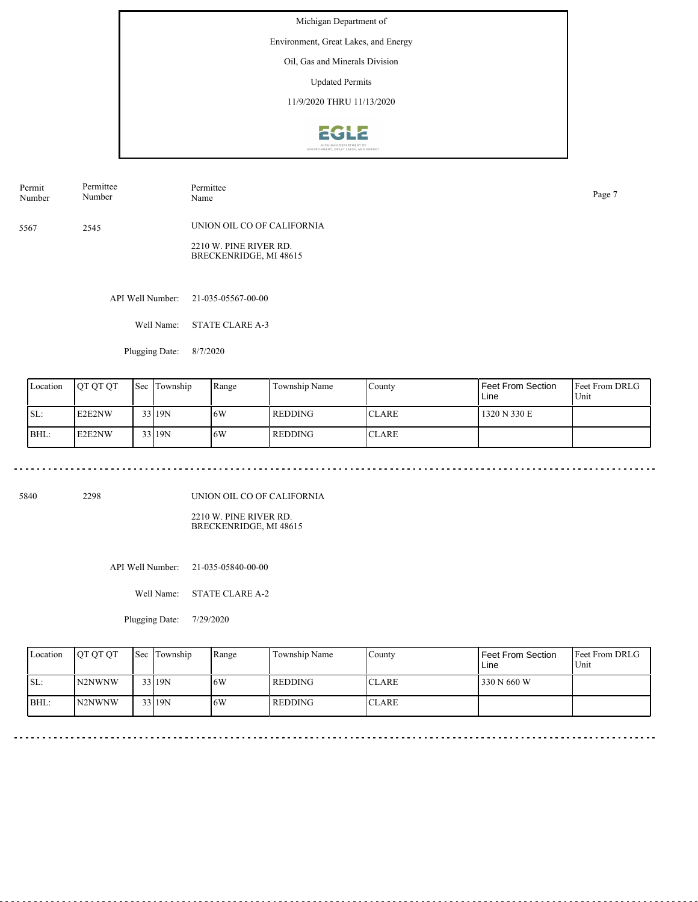Environment, Great Lakes, and Energy

Oil, Gas and Minerals Division

Updated Permits

11/9/2020 THRU 11/13/2020



5567 2545 Permit Number Permittee Number Permittee Name Page 7 UNION OIL CO OF CALIFORNIA 2210 W. PINE RIVER RD.

API Well Number: 21-035-05567-00-00

Well Name: STATE CLARE A-3

Plugging Date: 8/7/2020

| Location | <b>IOT OT OT</b> | <b>Sec</b> | Township | Range | Township Name  | County       | Feet From Section<br>Line | <b>Feet From DRLG</b><br>Unit |
|----------|------------------|------------|----------|-------|----------------|--------------|---------------------------|-------------------------------|
| SL:      | E2E2NW           |            | 33 19N   | 16W   | <b>REDDING</b> | <b>CLARE</b> | 1320 N 330 E              |                               |
| BHL:     | E2E2NW           |            | 33 19N   | 16W   | REDDING        | <b>CLARE</b> |                           |                               |

5840 2298

UNION OIL CO OF CALIFORNIA

BRECKENRIDGE, MI 48615

2210 W. PINE RIVER RD. BRECKENRIDGE, MI 48615

API Well Number: 21-035-05840-00-00

Well Name: STATE CLARE A-2

Plugging Date: 7/29/2020

| Location | <b>OT OT OT</b>     | <b>Sec Township</b> | Range | Township Name | Countv        | Feet From Section<br>Line | <b>Feet From DRLG</b><br>Unit |
|----------|---------------------|---------------------|-------|---------------|---------------|---------------------------|-------------------------------|
| SL:      | N <sub>2</sub> NWNW | 33 19N              | 6W    | REDDING       | <b>ICLARE</b> | 330 N 660 W               |                               |
| BHL:     | N <sub>2</sub> NWNW | 33 19N              | .6W   | l REDDING     | <b>ICLARE</b> |                           |                               |

<u>. . . . . . . . .</u>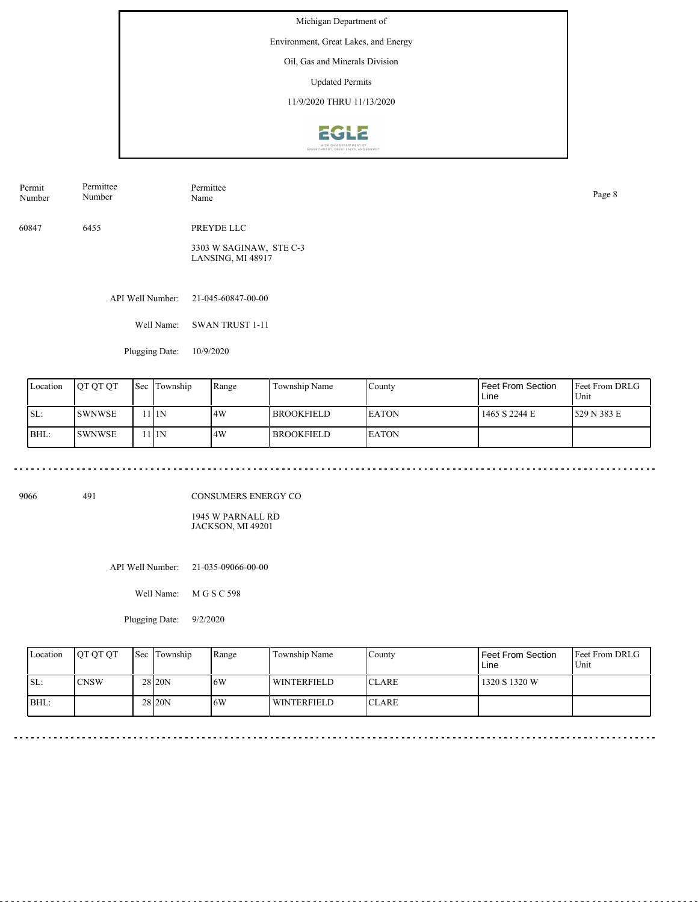Environment, Great Lakes, and Energy

Oil, Gas and Minerals Division

Updated Permits

11/9/2020 THRU 11/13/2020



| Permit | Permittee | Permittee  | Page 8 |
|--------|-----------|------------|--------|
| Number | Number    | Name       |        |
| 60847  | 6455      | PREYDE LLC |        |

3303 W SAGINAW, STE C-3 LANSING, MI 48917

API Well Number: 21-045-60847-00-00

Well Name: SWAN TRUST 1-11

Plugging Date: 10/9/2020

| Location | <b>IOT OT OT</b> | <b>Sec</b> | Township | Range | Township Name       | County        | Feet From Section<br>Line | <b>Feet From DRLG</b><br>Unit |
|----------|------------------|------------|----------|-------|---------------------|---------------|---------------------------|-------------------------------|
| ISL:     | <b>SWNWSE</b>    |            | 111N     | 14W   | <b>I BROOKFIELD</b> | <b>IEATON</b> | 1465 S 2244 E             | 1529 N 383 E                  |
| BHL:     | <b>SWNWSE</b>    |            | 11N      | 4W    | <b>I BROOKFIELD</b> | <b>LEATON</b> |                           |                               |

9066 491

CONSUMERS ENERGY CO

1945 W PARNALL RD JACKSON, MI 49201

API Well Number: 21-035-09066-00-00

Well Name: M G S C 598

Plugging Date: 9/2/2020

| Location | <b>OT OT OT</b> | Sec Township      | Range | Township Name | County        | Feet From Section<br>Line | <b>Feet From DRLG</b><br>Unit |
|----------|-----------------|-------------------|-------|---------------|---------------|---------------------------|-------------------------------|
| ISL:     | <b>CNSW</b>     | 28 <sub>20N</sub> | 16W   | WINTERFIELD   | <b>ICLARE</b> | 1320 S 1320 W             |                               |
| BHL:     |                 | 28 <sub>20N</sub> | 6W    | WINTERFIELD   | <b>CLARE</b>  |                           |                               |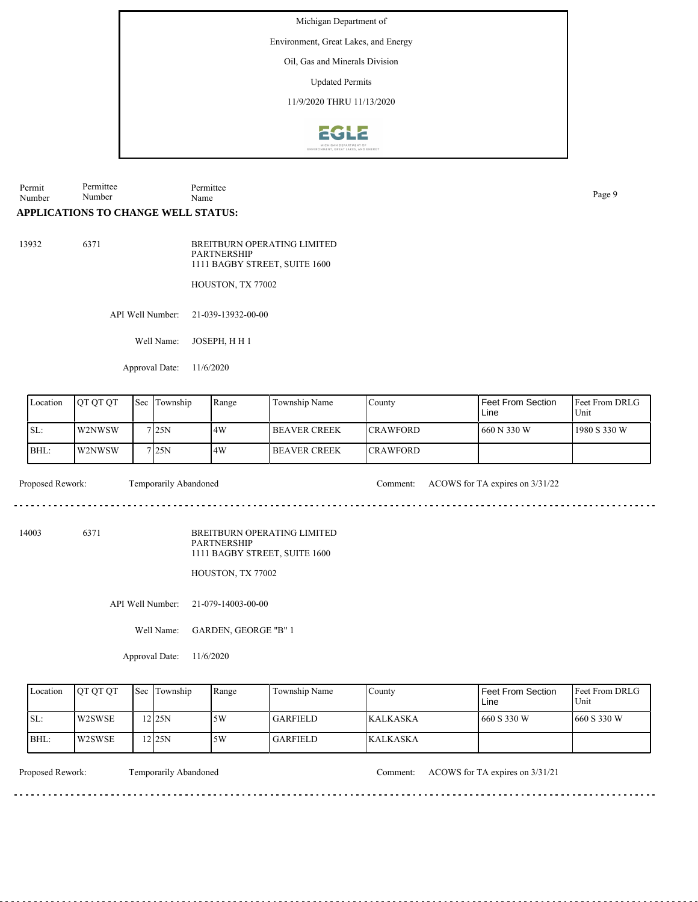Environment, Great Lakes, and Energy

Oil, Gas and Minerals Division

Updated Permits

11/9/2020 THRU 11/13/2020



Permit Number Permittee Number Permittee Page 9<br>Name

# **APPLICATIONS TO CHANGE WELL STATUS:**

13932 6371

BREITBURN OPERATING LIMITED PARTNERSHIP 1111 BAGBY STREET, SUITE 1600

HOUSTON, TX 77002

API Well Number: 21-039-13932-00-00

Well Name: JOSEPH, H H 1

Approval Date: 11/6/2020

| Location | <b>IOT OT OT</b> | Sec | Township         | Range | Township Name         | County           | I Feet From Section<br>Line | <b>IFeet From DRLG</b><br>Unit |
|----------|------------------|-----|------------------|-------|-----------------------|------------------|-----------------------------|--------------------------------|
| SL:      | W2NWSW           |     | 7 <sub>25N</sub> | 4W    | <b>IBEAVER CREEK</b>  | <b>ICRAWFORD</b> | 660 N 330 W                 | 1980 S 330 W                   |
| BHL:     | W2NWSW           |     | 7125N            | 14W   | <b>I BEAVER CREEK</b> | <b>ICRAWFORD</b> |                             |                                |

dia a a a

Proposed Rework: Temporarily Abandoned Comment: ACOWS for TA expires on 3/31/22

de de decede

14003 6371

BREITBURN OPERATING LIMITED PARTNERSHIP 1111 BAGBY STREET, SUITE 1600

HOUSTON, TX 77002

API Well Number: 21-079-14003-00-00

Well Name: GARDEN, GEORGE "B" 1

Approval Date: 11/6/2020

| Location | <b>OT OT OT</b> | <b>Sec</b> Township | Range | Township Name | County           | Feet From Section<br>Line | <b>IFeet From DRLG</b><br>Unit |
|----------|-----------------|---------------------|-------|---------------|------------------|---------------------------|--------------------------------|
| ISL:     | <b>W2SWSE</b>   | $2$ 25N             | 15W   | l GARFIELD.   | <b>IKALKASKA</b> | 660 S 330 W               | $1660$ S 330 W                 |
| BHL:     | W2SWSE          | $2$ 25N             | ا 5W  | l GARFIELD.   | <b>KALKASKA</b>  |                           |                                |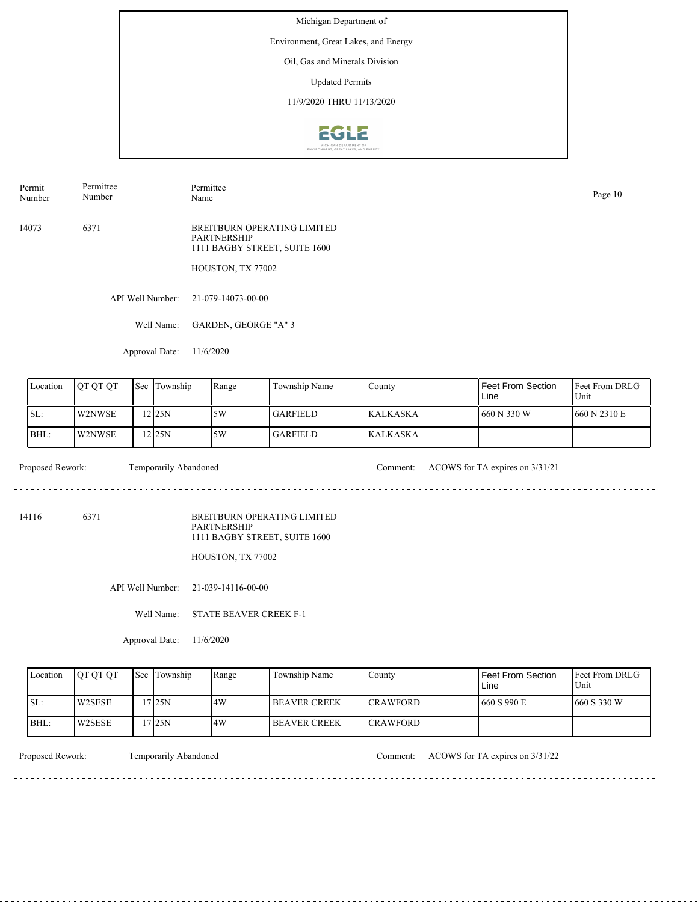Environment, Great Lakes, and Energy

Oil, Gas and Minerals Division

Updated Permits

11/9/2020 THRU 11/13/2020



Permit Number Permittee Number

Permittee Page 10<br>Name Page 10

14073 6371 BREITBURN OPERATING LIMITED PARTNERSHIP 1111 BAGBY STREET, SUITE 1600

HOUSTON, TX 77002

API Well Number: 21-079-14073-00-00

Well Name: GARDEN, GEORGE "A" 3

Approval Date: 11/6/2020

| Location | <b>OT OT OT</b> | Sec | Township | Range | Township Name   | County          | Feet From Section<br>Line | <b>Feet From DRLG</b><br>Unit |
|----------|-----------------|-----|----------|-------|-----------------|-----------------|---------------------------|-------------------------------|
| SL:      | W2NWSE          |     | 2125N    | 5W    | GARFIELD        | <b>KALKASKA</b> | 1 660 N 330 W             | 1660 N 2310 E                 |
| BHL:     | W2NWSE          |     | $2$ 25N  | 5W    | <b>GARFIELD</b> | <b>KALKASKA</b> |                           |                               |

Proposed Rework: Temporarily Abandoned Comment: ACOWS for TA expires on 3/31/21

. . . . . . . . . . . . . . . .

14116 6371

BREITBURN OPERATING LIMITED PARTNERSHIP 1111 BAGBY STREET, SUITE 1600

HOUSTON, TX 77002

API Well Number: 21-039-14116-00-00

Well Name: STATE BEAVER CREEK F-1

Approval Date: 11/6/2020

| Location | <b>OT OT OT</b> | <b>Sec Township</b> | Range | Township Name        | County           | Feet From Section<br>Line | <b>IFeet From DRLG</b><br>Unit |
|----------|-----------------|---------------------|-------|----------------------|------------------|---------------------------|--------------------------------|
| ISL:     | W2SESE          | 7 25N               | 4W    | <b>IBEAVER CREEK</b> | <b>ICRAWFORD</b> | 1660 S 990 E              | 660 S 330 W                    |
| BHL:     | W2SESE          | 7 25N               | 4W    | I BEAVER CREEK       | <b>ICRAWFORD</b> |                           |                                |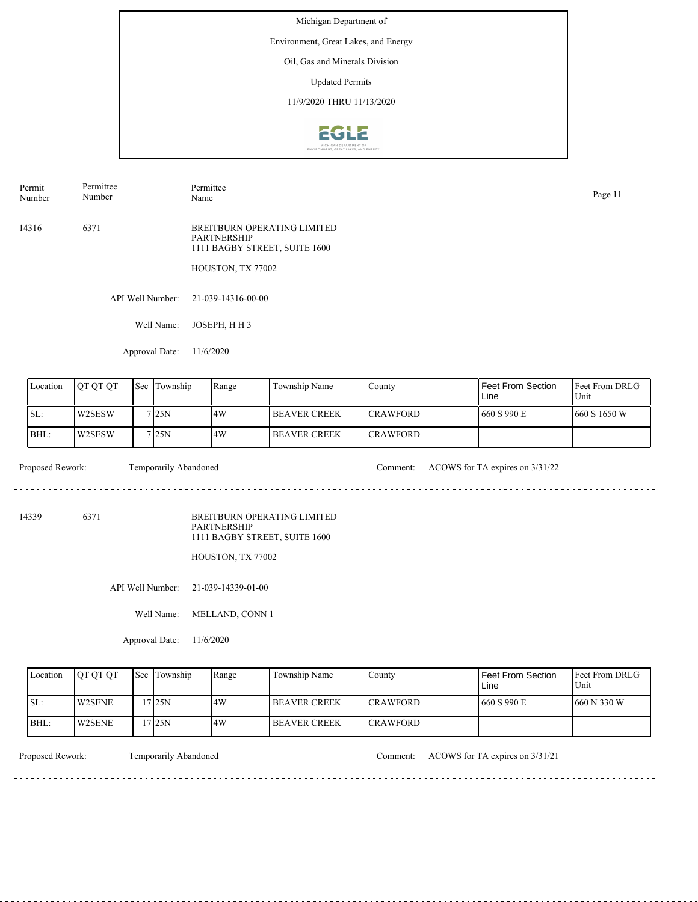Environment, Great Lakes, and Energy

Oil, Gas and Minerals Division

Updated Permits

11/9/2020 THRU 11/13/2020



| Permit<br>Number | Permittee<br>Number | Permittee<br>Name                                                                                       | Page 11 |
|------------------|---------------------|---------------------------------------------------------------------------------------------------------|---------|
| 14316            | 6371                | BREITBURN OPERATING LIMITED<br><b>PARTNERSHIP</b><br>1111 BAGBY STREET, SUITE 1600<br>HOUSTON, TX 77002 |         |
|                  |                     |                                                                                                         |         |

API Well Number: 21-039-14316-00-00

Well Name: JOSEPH, H H 3

Approval Date: 11/6/2020

| Location | <b>IOT OT OT</b> | <b>Sec</b> | Township           | Range | Township Name       | County           | Feet From Section<br>Line | <b>IFeet From DRLG</b><br>Unit |
|----------|------------------|------------|--------------------|-------|---------------------|------------------|---------------------------|--------------------------------|
| ISL:     | W2SESW           |            | 7 <sub>125</sub> N | 14W   | <b>BEAVER CREEK</b> | <b>ICRAWFORD</b> | 660 S 990 E               | 1660 S 1650 W                  |
| BHL:     | W2SESW           |            | 7125N              | 4W    | <b>BEAVER CREEK</b> | <b>CRAWFORD</b>  |                           |                                |

 $\frac{1}{2} \left( \frac{1}{2} \right) \left( \frac{1}{2} \right) \left( \frac{1}{2} \right) \left( \frac{1}{2} \right)$ 

Proposed Rework: Temporarily Abandoned Comment: ACOWS for TA expires on  $3/31/22$ 

14339 6371

BREITBURN OPERATING LIMITED PARTNERSHIP 1111 BAGBY STREET, SUITE 1600

HOUSTON, TX 77002

API Well Number: 21-039-14339-01-00

Well Name: MELLAND, CONN 1

Approval Date: 11/6/2020

| Location | <b>OT OT OT</b> | <b>Sec Township</b> | Range | Township Name  | County          | Feet From Section<br>Line | <b>Feet From DRLG</b><br>Unit |
|----------|-----------------|---------------------|-------|----------------|-----------------|---------------------------|-------------------------------|
| ISL:     | <b>W2SENE</b>   | 7125N               | 4W    | I BEAVER CREEK | <b>CRAWFORD</b> | 1660 S 990 E              | 1660 N 330 W                  |
| BHL:     | <b>W2SENE</b>   | 7125N               | 4W    | I BEAVER CREEK | <b>CRAWFORD</b> |                           |                               |

<u>. . . . . . . .</u>

Proposed Rework: Temporarily Abandoned Comment: ACOWS for TA expires on 3/31/21

. . . . . . . . . . . . . . . . . . .

<u>. . . . . . . . . . . . . . . . .</u>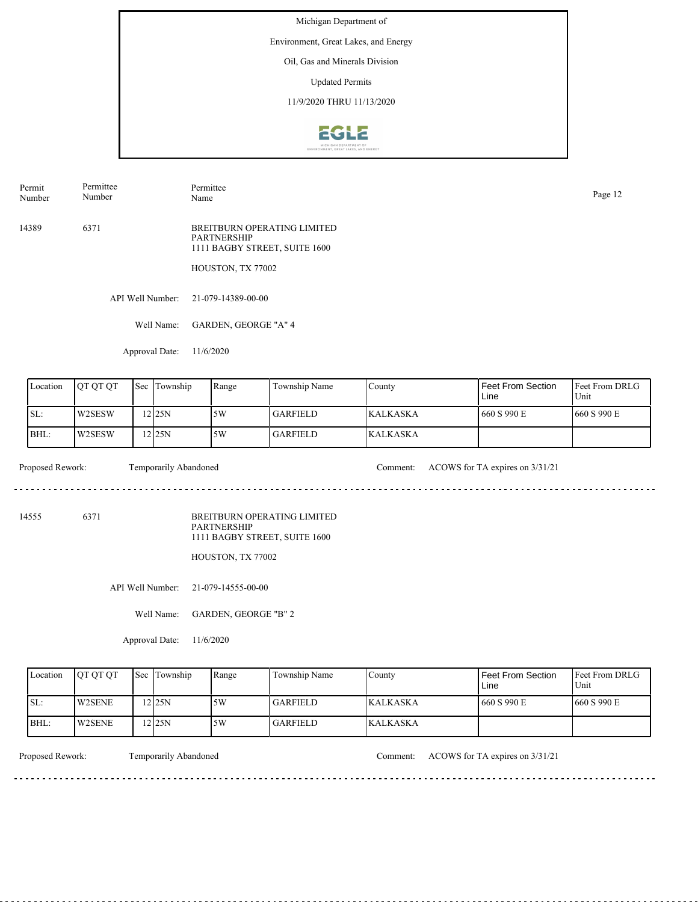Environment, Great Lakes, and Energy

Oil, Gas and Minerals Division

Updated Permits

11/9/2020 THRU 11/13/2020



Permit Number Permittee Number

Permittee Page 12<br>Name Page 12

14389 6371 BREITBURN OPERATING LIMITED PARTNERSHIP 1111 BAGBY STREET, SUITE 1600

HOUSTON, TX 77002

API Well Number: 21-079-14389-00-00

Well Name: GARDEN, GEORGE "A" 4

Approval Date: 11/6/2020

| Location | <b>OT OT OT</b> | Sec | Township | Range | Township Name   | County           | Feet From Section<br>Line | <b>IFeet From DRLG</b><br>Unit |
|----------|-----------------|-----|----------|-------|-----------------|------------------|---------------------------|--------------------------------|
| SL:      | W2SESW          |     | 2125N    | 15W   | <b>GARFIELD</b> | <b>IKALKASKA</b> | 660 S 990 E               | 1660 S 990 E                   |
| BHL:     | W2SESW          |     | 12125N   | 15W   | GARFIELD        | <b>KALKASKA</b>  |                           |                                |

Proposed Rework: Temporarily Abandoned Comment: ACOWS for TA expires on 3/31/21

. . . . . . . . . . . . . . . . . .

14555 6371

BREITBURN OPERATING LIMITED PARTNERSHIP 1111 BAGBY STREET, SUITE 1600

HOUSTON, TX 77002

API Well Number: 21-079-14555-00-00

Well Name: GARDEN, GEORGE "B" 2

Approval Date: 11/6/2020

| Location | <b>OT OT OT</b> | <b>Sec Township</b> | Range | Township Name   | County           | Feet From Section<br>Line | <b>Feet From DRLG</b><br>Unit |
|----------|-----------------|---------------------|-------|-----------------|------------------|---------------------------|-------------------------------|
| SL:      | <b>W2SENE</b>   | 2125N               | .5W   | GARFIELD        | <b>IKALKASKA</b> | 1660 S 990 E              | 1660 S 990 E                  |
| BHL:     | <b>W2SENE</b>   | $2$ 25N             | 5W    | <b>GARFIELD</b> | <b>KALKASKA</b>  |                           |                               |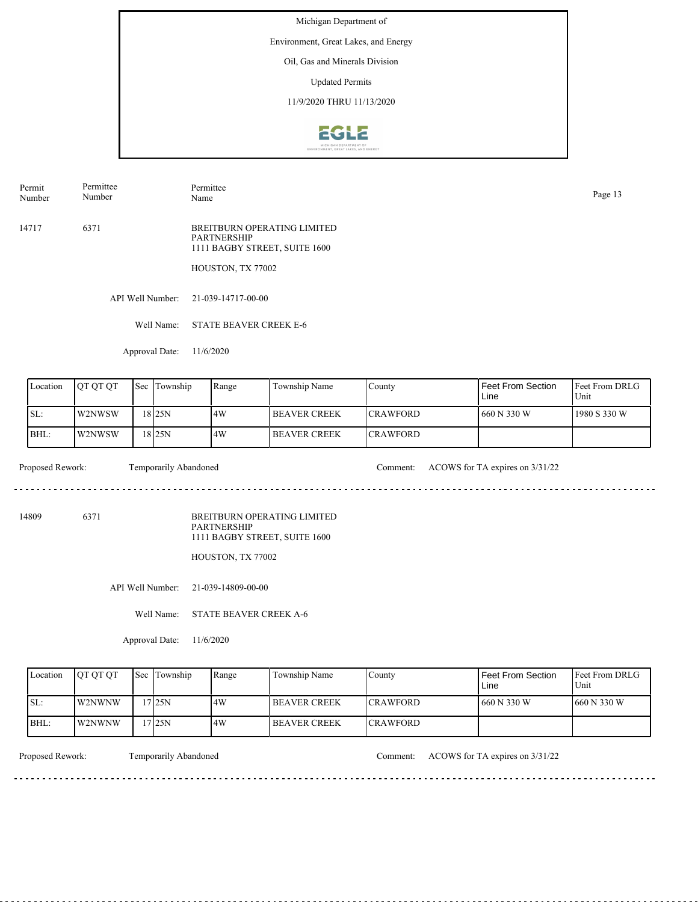Environment, Great Lakes, and Energy

Oil, Gas and Minerals Division

Updated Permits

11/9/2020 THRU 11/13/2020



Permit Number Permittee Number

Permittee Page 13<br>Name Page 13

14717 6371 BREITBURN OPERATING LIMITED PARTNERSHIP 1111 BAGBY STREET, SUITE 1600

HOUSTON, TX 77002

API Well Number: 21-039-14717-00-00

Well Name: STATE BEAVER CREEK E-6

Approval Date: 11/6/2020

| Location | <b>IOT OT OT</b> | Sec | Township | Range | Township Name        | County           | Feet From Section<br>Line | Feet From DRLG<br>Unit |
|----------|------------------|-----|----------|-------|----------------------|------------------|---------------------------|------------------------|
| ISL:     | W2NWSW           |     | 18 I25N  | 14W   | <b>IBEAVER CREEK</b> | <b>ICRAWFORD</b> | 660 N 330 W               | 1980 S 330 W           |
| BHL:     | l W2NWSW         |     | 18 25 N  | 14W   | <b>IBEAVER CREEK</b> | <b>ICRAWFORD</b> |                           |                        |

Proposed Rework: Temporarily Abandoned Comment: ACOWS for TA expires on  $3/31/22$ 

<u>. . . . . . . . . . . . . . . . . . .</u>

14809 6371

BREITBURN OPERATING LIMITED PARTNERSHIP 1111 BAGBY STREET, SUITE 1600

HOUSTON, TX 77002

API Well Number: 21-039-14809-00-00

Well Name: STATE BEAVER CREEK A-6

Approval Date: 11/6/2020

| Location | <b>IOT OT OT</b> | <b>Sec Township</b> | Range | Township Name        | County           | Feet From Section<br>Line | <b>Feet From DRLG</b><br>Unit |
|----------|------------------|---------------------|-------|----------------------|------------------|---------------------------|-------------------------------|
| ISL:     | <b>W2NWNW</b>    | 7125N               | .4W   | <b>IBEAVER CREEK</b> | <b>CRAWFORD</b>  | 1 660 N 330 W             | 1660 N 330 W                  |
| BHL:     | W2NWNW           | 7 25N               | 4W    | I BEAVER CREEK       | <b>ICRAWFORD</b> |                           |                               |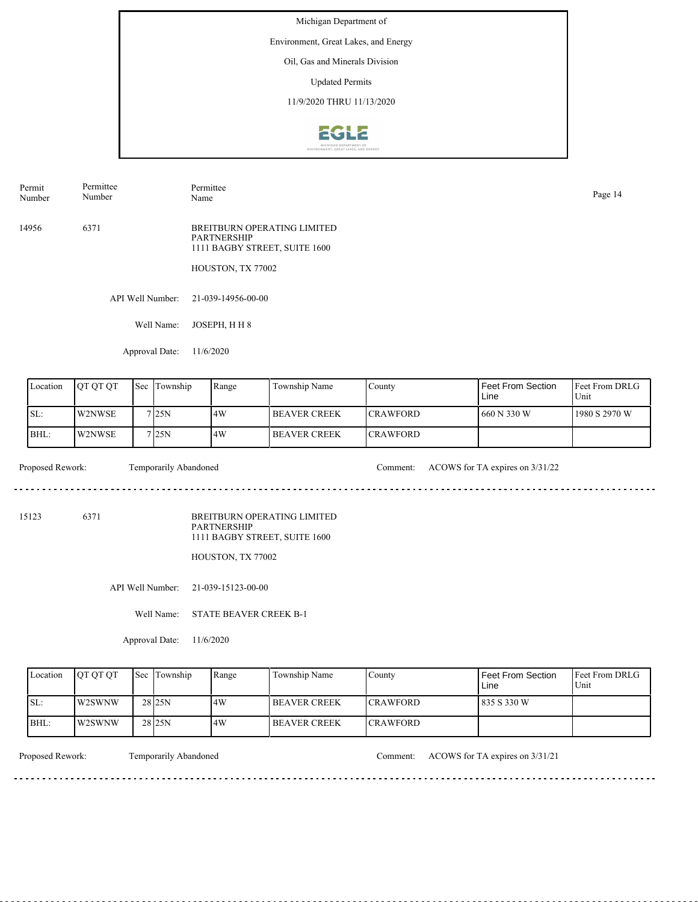Environment, Great Lakes, and Energy

Oil, Gas and Minerals Division

Updated Permits

11/9/2020 THRU 11/13/2020



| Permit | Permittee | Permittee                   | Page 14 |
|--------|-----------|-----------------------------|---------|
| Number | Number    | Name                        |         |
| 14956  | 637       | BREITBURN OPERATING LIMITED |         |

BREITBURN OPERATING LIMITED PARTNERSHIP 1111 BAGBY STREET, SUITE 1600

HOUSTON, TX 77002

API Well Number: 21-039-14956-00-00

Well Name: JOSEPH, H H 8

Approval Date: 11/6/2020

| Location | <b>IOT OT OT</b> | 'Sec | Township           | Range | Township Name         | County           | Feet From Section<br>Line | <b>IFeet From DRLG</b><br>Unit |
|----------|------------------|------|--------------------|-------|-----------------------|------------------|---------------------------|--------------------------------|
| SL:      | W2NWSE           |      | 7 I 25 N           | 4W    | <b>IBEAVER CREEK</b>  | <b>ICRAWFORD</b> | 660 N 330 W               | 1980 S 2970 W                  |
| BHL:     | W2NWSE           |      | 7 <sub>125</sub> N | 14W   | <b>I BEAVER CREEK</b> | <b>ICRAWFORD</b> |                           |                                |

Proposed Rework: Temporarily Abandoned Comment: ACOWS for TA expires on  $3/31/22$ 

. . . . . . . . . . . . . . . . . . .

15123 6371

BREITBURN OPERATING LIMITED PARTNERSHIP 1111 BAGBY STREET, SUITE 1600

HOUSTON, TX 77002

API Well Number: 21-039-15123-00-00

Well Name: STATE BEAVER CREEK B-1

Approval Date: 11/6/2020

| Location | <b>OT OT OT</b> | <b>Sec Township</b> | Range | Township Name  | County          | Feet From Section<br>Line | <b>Feet From DRLG</b><br>Unit |
|----------|-----------------|---------------------|-------|----------------|-----------------|---------------------------|-------------------------------|
| ISL:     | W2SWNW          | 28 <sub>25N</sub>   | 4W    | I BEAVER CREEK | <b>CRAWFORD</b> | 1835 S 330 W              |                               |
| BHL:     | W2SWNW          | 28 <sub>25N</sub>   | 4W    | I BEAVER CREEK | <b>CRAWFORD</b> |                           |                               |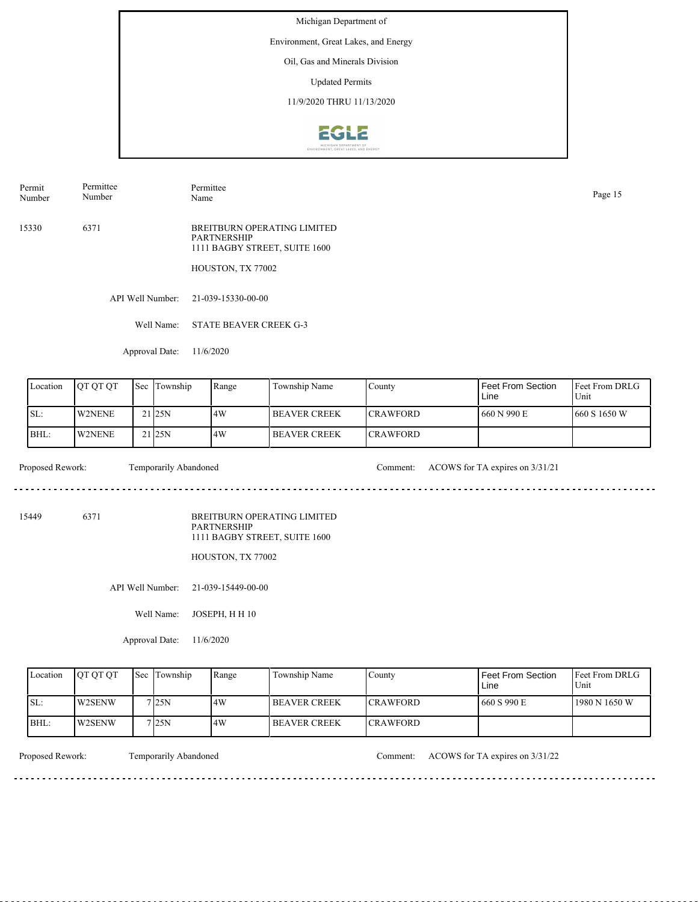Environment, Great Lakes, and Energy

Oil, Gas and Minerals Division

Updated Permits

11/9/2020 THRU 11/13/2020



Permit Number Permittee Number

Permittee Page 15<br>Name Page 15

15330 6371 BREITBURN OPERATING LIMITED PARTNERSHIP 1111 BAGBY STREET, SUITE 1600

HOUSTON, TX 77002

API Well Number: 21-039-15330-00-00

Well Name: STATE BEAVER CREEK G-3

Approval Date: 11/6/2020

| Location | <b>OT OT OT</b> | Sec Township        | Range | Township Name  | County           | Feet From Section<br>Line | <b>Feet From DRLG</b><br>Unit |
|----------|-----------------|---------------------|-------|----------------|------------------|---------------------------|-------------------------------|
| ISL:     | <b>IW2NENE</b>  | 21 <sub>125N</sub>  | 14W   | I BEAVER CREEK | <b>ICRAWFORD</b> | 660 N 990 E               | 1660 S 1650 W                 |
| BHL:     | <b>W2NENE</b>   | $21$ <sub>25N</sub> | 14W   | I BEAVER CREEK | <b>ICRAWFORD</b> |                           |                               |

Proposed Rework: Temporarily Abandoned Comment: ACOWS for TA expires on 3/31/21

. . . . . . . . . . . . . . . . . .

15449 6371

BREITBURN OPERATING LIMITED PARTNERSHIP 1111 BAGBY STREET, SUITE 1600

HOUSTON, TX 77002

API Well Number: 21-039-15449-00-00

Well Name: JOSEPH, H H 10

Approval Date: 11/6/2020

| Location | <b>OT OT OT</b> | <b>Sec Township</b> | Range | Township Name        | County           | Feet From Section<br>Line | <b>IFeet From DRLG</b><br>Unit |
|----------|-----------------|---------------------|-------|----------------------|------------------|---------------------------|--------------------------------|
| ISL:     | <b>IW2SENW</b>  | 7 25N               | 4W    | <b>IBEAVER CREEK</b> | <b>ICRAWFORD</b> | 660 S 990 E               | 1980 N 1650 W                  |
| BHL:     | W2SENW          | 7125N               | 4W    | I BEAVER CREEK       | <b>ICRAWFORD</b> |                           |                                |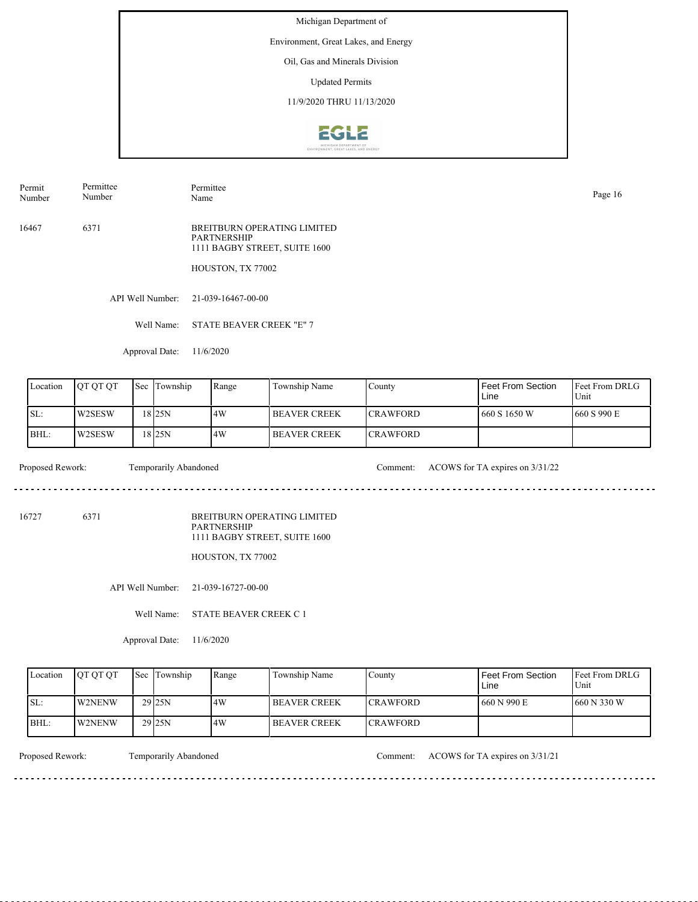Environment, Great Lakes, and Energy

Oil, Gas and Minerals Division

Updated Permits

11/9/2020 THRU 11/13/2020



Permit Number Permittee Number

Permittee Page 16<br>Name Page 16

16467 6371 BREITBURN OPERATING LIMITED PARTNERSHIP 1111 BAGBY STREET, SUITE 1600

HOUSTON, TX 77002

API Well Number: 21-039-16467-00-00

Well Name: STATE BEAVER CREEK "E" 7

Approval Date: 11/6/2020

| Location | <b>OT OT OT</b> | Sec | Township          | Range | Township Name       | County           | Feet From Section<br>Line | <b>IFeet From DRLG</b><br>Unit |
|----------|-----------------|-----|-------------------|-------|---------------------|------------------|---------------------------|--------------------------------|
| SL:      | W2SESW          |     | 18 <sub>25N</sub> | 14W   | <b>BEAVER CREEK</b> | <b>ICRAWFORD</b> | 1 660 S 1650 W            | 1660 S 990 E                   |
| BHL:     | W2SESW          |     | 18 <sub>25N</sub> | 4W    | <b>BEAVER CREEK</b> | <b>CRAWFORD</b>  |                           |                                |

Proposed Rework: Temporarily Abandoned Comment: ACOWS for TA expires on  $3/31/22$ 

<u>. . . . . . . . . . . . . . . . . . .</u>

16727 6371

BREITBURN OPERATING LIMITED PARTNERSHIP 1111 BAGBY STREET, SUITE 1600

HOUSTON, TX 77002

API Well Number: 21-039-16727-00-00

Well Name: STATE BEAVER CREEK C 1

Approval Date: 11/6/2020

| Location | <b>OT OT OT</b> | <b>Sec Township</b> | Range | Township Name        | County           | Feet From Section<br>Line | <b>IFeet From DRLG</b><br>Unit |
|----------|-----------------|---------------------|-------|----------------------|------------------|---------------------------|--------------------------------|
| ISL:     | <b>IW2NENW</b>  | 29 <sub>25N</sub>   | 4W    | <b>IBEAVER CREEK</b> | <b>ICRAWFORD</b> | I 660 N 990 E             | 1660 N 330 W                   |
| BHL:     | <b>IW2NENW</b>  | 29 <sub>125N</sub>  | 4W    | I BEAVER CREEK       | <b>ICRAWFORD</b> |                           |                                |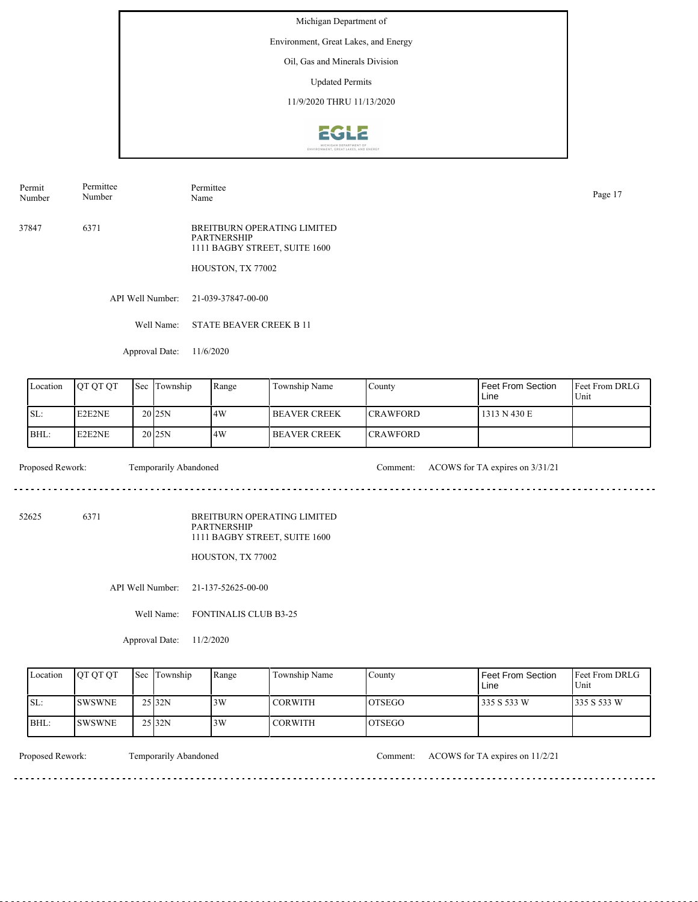Environment, Great Lakes, and Energy

Oil, Gas and Minerals Division

Updated Permits

11/9/2020 THRU 11/13/2020



Permit Number Permittee Number

Permittee Page 17<br>Name Page 17

37847 6371 BREITBURN OPERATING LIMITED PARTNERSHIP 1111 BAGBY STREET, SUITE 1600

HOUSTON, TX 77002

API Well Number: 21-039-37847-00-00

Well Name: STATE BEAVER CREEK B 11

Approval Date: 11/6/2020

| Location | <b>OT OT OT</b> | Sec | Township          | Range | Township Name        | County           | Feet From Section<br>Line | Feet From DRLG<br>Unit |
|----------|-----------------|-----|-------------------|-------|----------------------|------------------|---------------------------|------------------------|
| ISL:     | E2E2NE          |     | 20125N            | 14W   | <b>BEAVER CREEK</b>  | <b>ICRAWFORD</b> | 1313 N 430 E              |                        |
| BHL:     | E2E2NE          |     | 20 <sub>25N</sub> | 14W   | <b>IBEAVER CREEK</b> | <b>ICRAWFORD</b> |                           |                        |

Proposed Rework: Temporarily Abandoned Comment: ACOWS for TA expires on 3/31/21

52625 6371

BREITBURN OPERATING LIMITED PARTNERSHIP 1111 BAGBY STREET, SUITE 1600

HOUSTON, TX 77002

API Well Number: 21-137-52625-00-00

Well Name: FONTINALIS CLUB B3-25

Approval Date: 11/2/2020

| Location | <b>OT OT OT</b> | <b>Sec</b> Township | Range | Township Name  | County  | Feet From Section<br>Line | <b>Feet From DRLG</b><br>Unit |
|----------|-----------------|---------------------|-------|----------------|---------|---------------------------|-------------------------------|
| ISL:     | <b>ISWSWNE</b>  | 25 32N              | 3W    | <b>CORWITH</b> | IOTSEGO | 335 S 533 W               | 335 S 533 W                   |
| BHL:     | <b>ISWSWNE</b>  | $25$ <sub>32N</sub> | 3W    | <b>CORWITH</b> | IOTSEGO |                           |                               |

Proposed Rework: Temporarily Abandoned Comment: ACOWS for TA expires on 11/2/21

<u>. . . . . . . .</u>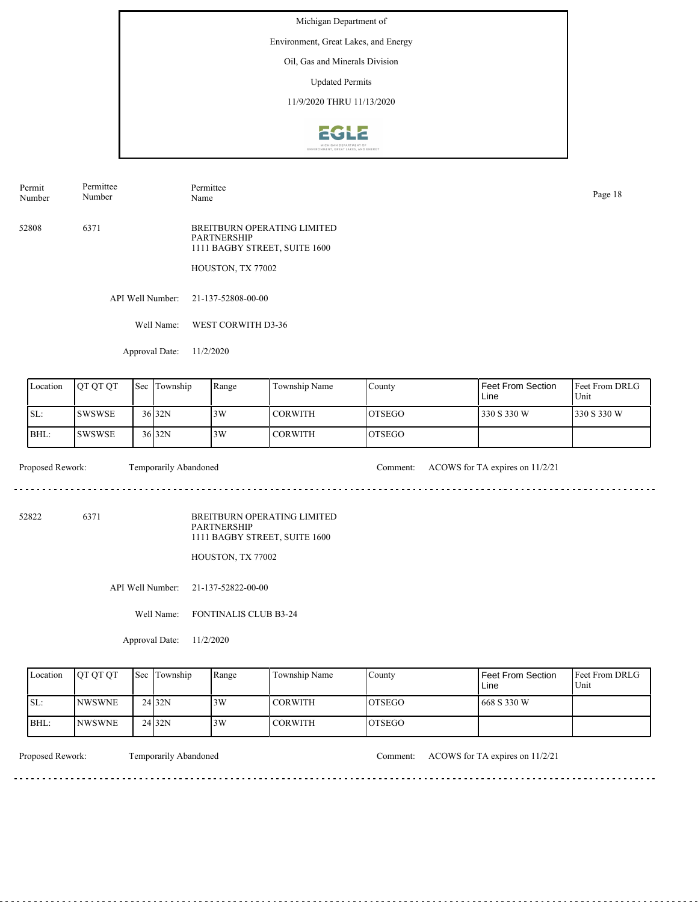Environment, Great Lakes, and Energy

Oil, Gas and Minerals Division

Updated Permits

11/9/2020 THRU 11/13/2020



Permit Number Permittee Number

Permittee Page 18<br>Name Page 18

52808 6371 BREITBURN OPERATING LIMITED PARTNERSHIP 1111 BAGBY STREET, SUITE 1600

HOUSTON, TX 77002

API Well Number: 21-137-52808-00-00

Well Name: WEST CORWITH D3-36

Approval Date: 11/2/2020

| Location | <b>IOT OT OT</b> | 'Sec | Township          | Range | Township Name  | County         | Feet From Section<br>Line | <b>IFeet From DRLG</b><br>Unit |
|----------|------------------|------|-------------------|-------|----------------|----------------|---------------------------|--------------------------------|
| SL:      | <b>SWSWSE</b>    |      | $36$ 32N          | 3W    | <b>CORWITH</b> | IOTSEGO        | 330 S 330 W               | 330 S 330 W                    |
| BHL:     | ISWSWSE          |      | 36 <sub>32N</sub> | 3W    | I CORWITH      | <b>IOTSEGO</b> |                           |                                |

Proposed Rework: Temporarily Abandoned Comment: ACOWS for TA expires on 11/2/21

. . . . . . . . . . . . . . . . . . .

52822 6371

BREITBURN OPERATING LIMITED PARTNERSHIP 1111 BAGBY STREET, SUITE 1600

HOUSTON, TX 77002

API Well Number: 21-137-52822-00-00

Well Name: FONTINALIS CLUB B3-24

Approval Date: 11/2/2020

| Location | <b>OT OT OT</b> | <b>Sec Township</b> | Range | Township Name  | County         | Feet From Section<br>∟ine | <b>Feet From DRLG</b><br>Unit |
|----------|-----------------|---------------------|-------|----------------|----------------|---------------------------|-------------------------------|
| ISL:     | <b>NWSWNE</b>   | 24 <sub>32N</sub>   | 3W    | <b>CORWITH</b> | <b>IOTSEGO</b> | 668 S 330 W               |                               |
| BHL:     | <b>INWSWNE</b>  | 24 <sub>32N</sub>   | 3W    | <b>CORWITH</b> | IOTSEGO        |                           |                               |

<u>. . . . . . . .</u>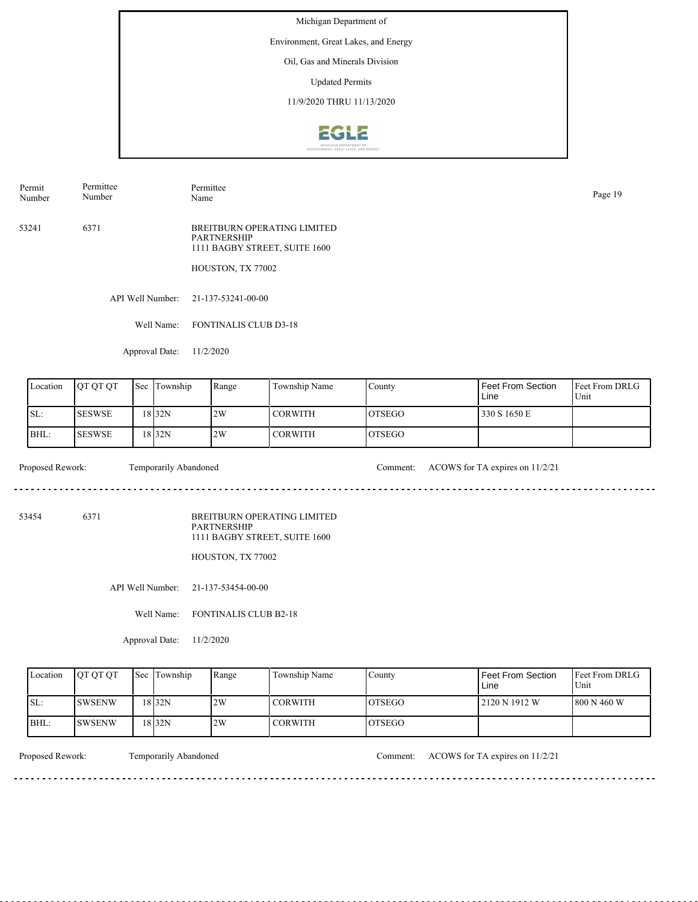Environment, Great Lakes, and Energy

Oil, Gas and Minerals Division

Updated Permits

11/9/2020 THRU 11/13/2020



Permit Number Permittee Number

Permittee Page 19<br>Name Page 19

53241 6371 BREITBURN OPERATING LIMITED PARTNERSHIP 1111 BAGBY STREET, SUITE 1600

HOUSTON, TX 77002

API Well Number: 21-137-53241-00-00

Well Name: FONTINALIS CLUB D3-18

Approval Date: 11/2/2020

| Location | <b>OT OT OT</b> | 'Sec | Township | Range | Township Name  | County         | Feet From Section<br>Line | Feet From DRLG<br>Unit |
|----------|-----------------|------|----------|-------|----------------|----------------|---------------------------|------------------------|
| SL:      | <b>SESWSE</b>   |      | 18 32N   | 2W    | <b>CORWITH</b> | IOTSEGO        | 330 S 1650 E              |                        |
| BHL:     | <b>SESWSE</b>   |      | 18 32N   | 2W    | I CORWITH      | <b>IOTSEGO</b> |                           |                        |

Proposed Rework: Temporarily Abandoned Comment: ACOWS for TA expires on 11/2/21

. . . . . . . . . . . . . . . . . . .

53454 6371

BREITBURN OPERATING LIMITED PARTNERSHIP 1111 BAGBY STREET, SUITE 1600

HOUSTON, TX 77002

API Well Number: 21-137-53454-00-00

Well Name: FONTINALIS CLUB B2-18

Approval Date: 11/2/2020

| Location | <b>OT OT OT</b> | <b>Sec Township</b> | Range | Township Name  | County        | Feet From Section<br>Line | <b>Feet From DRLG</b><br>Unit |
|----------|-----------------|---------------------|-------|----------------|---------------|---------------------------|-------------------------------|
| ISL:     | <b>ISWSENW</b>  | 18 32N              | 2W    | <b>CORWITH</b> | IOTSEGO       | 2120 N 1912 W             | 1800 N 460 W                  |
| BHL:     | ISWSENW         | 18 <sub>32N</sub>   | 2W    | <b>CORWITH</b> | <b>OTSEGO</b> |                           |                               |

Proposed Rework: Temporarily Abandoned Comment: ACOWS for TA expires on 11/2/21

<u>. . . . . . . .</u>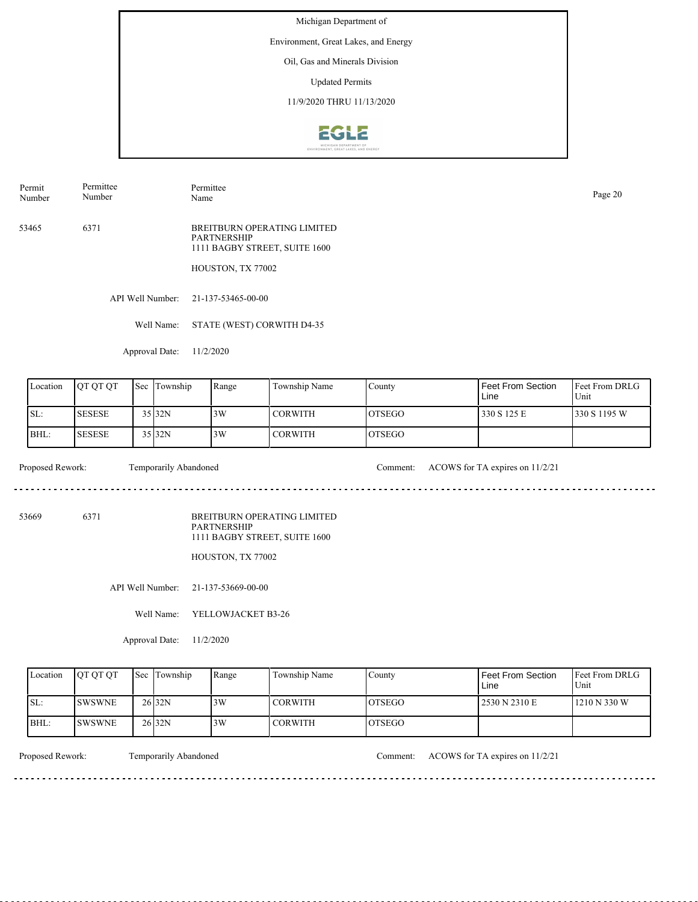Environment, Great Lakes, and Energy

Oil, Gas and Minerals Division

Updated Permits

11/9/2020 THRU 11/13/2020



Permit Number Permittee Number

Permittee Page 20<br>Name Page 20

53465 6371 BREITBURN OPERATING LIMITED PARTNERSHIP 1111 BAGBY STREET, SUITE 1600

HOUSTON, TX 77002

API Well Number: 21-137-53465-00-00

Well Name: STATE (WEST) CORWITH D4-35

Approval Date: 11/2/2020

| Location | <b>OT OT OT</b> | <b>Sec</b> | Township | Range | Township Name  | County         | Feet From Section<br>Line | <b>Feet From DRLG</b><br>Unit |
|----------|-----------------|------------|----------|-------|----------------|----------------|---------------------------|-------------------------------|
| SL:      | <b>SESESE</b>   |            | 35 32N   | 3W    | <b>CORWITH</b> | IOTSEGO        | 330 S 125 E               | 1330 S 1195 W                 |
| BHL:     | <b>SESESE</b>   |            | 35 32N   | 3W    | l CORWITH      | <b>IOTSEGO</b> |                           |                               |

Proposed Rework: Temporarily Abandoned Comment: ACOWS for TA expires on 11/2/21

. . . . . . . . . . . . . . . . . . .

53669 6371

BREITBURN OPERATING LIMITED PARTNERSHIP 1111 BAGBY STREET, SUITE 1600

HOUSTON, TX 77002

API Well Number: 21-137-53669-00-00

Well Name: YELLOWJACKET B3-26

Approval Date: 11/2/2020

| Location | <b>OT OT OT</b> | <b>Sec</b> Township | Range | Township Name  | County  | Feet From Section<br>Line | <b>Feet From DRLG</b><br>Unit |
|----------|-----------------|---------------------|-------|----------------|---------|---------------------------|-------------------------------|
| ISL:     | <b>ISWSWNE</b>  | 26 <sub>32N</sub>   | 3W    | <b>CORWITH</b> | IOTSEGO | 2530 N 2310 E             | 1210 N 330 W                  |
| BHL:     | <b>ISWSWNE</b>  | 26 <sub>32N</sub>   | 3W    | <b>CORWITH</b> | IOTSEGO |                           |                               |

<u>. . . . . . . .</u>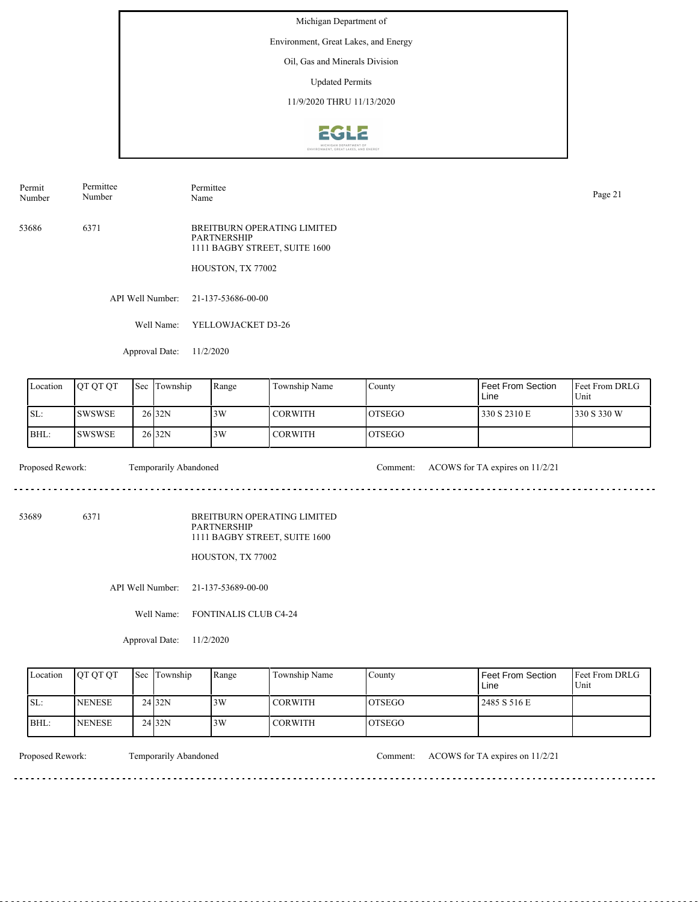Environment, Great Lakes, and Energy

Oil, Gas and Minerals Division

Updated Permits

11/9/2020 THRU 11/13/2020



Permit Number Permittee Number

Permittee Page 21<br>Name Page 21

53686 6371 BREITBURN OPERATING LIMITED PARTNERSHIP 1111 BAGBY STREET, SUITE 1600

HOUSTON, TX 77002

API Well Number: 21-137-53686-00-00

Well Name: YELLOWJACKET D3-26

Approval Date: 11/2/2020

| Location | <b>IOT OT OT</b> | 'Sec | Township          | Range | Township Name  | County         | Feet From Section<br>Line | <b>IFeet From DRLG</b><br>Unit |
|----------|------------------|------|-------------------|-------|----------------|----------------|---------------------------|--------------------------------|
| SL:      | <b>SWSWSE</b>    |      | 26 <sub>32N</sub> | 3W    | <b>CORWITH</b> | IOTSEGO        | 330 S 2310 E              | 330 S 330 W                    |
| BHL:     | ISWSWSE          |      | 26 <sub>32N</sub> | 3W    | I CORWITH      | <b>IOTSEGO</b> |                           |                                |

 $- - - - - -$ 

Proposed Rework: Temporarily Abandoned Comment: ACOWS for TA expires on 11/2/21

53689 6371

BREITBURN OPERATING LIMITED PARTNERSHIP 1111 BAGBY STREET, SUITE 1600

HOUSTON, TX 77002

API Well Number: 21-137-53689-00-00

Well Name: FONTINALIS CLUB C4-24

Approval Date: 11/2/2020

| Location | <b>OT OT OT</b> | <b>Sec Township</b> | Range | Township Name  | County         | Feet From Section<br>∟ine | <b>Feet From DRLG</b><br>Unit |
|----------|-----------------|---------------------|-------|----------------|----------------|---------------------------|-------------------------------|
| ISL:     | <b>NENESE</b>   | 24 <sub>32N</sub>   | 3W    | <b>CORWITH</b> | <b>IOTSEGO</b> | 2485 S 516 E              |                               |
| BHL:     | <b>NENESE</b>   | 24 <sub>32N</sub>   | 3W    | <b>CORWITH</b> | IOTSEGO        |                           |                               |

<u>. . . . . . . .</u>

Proposed Rework: Temporarily Abandoned Comment: ACOWS for TA expires on 11/2/21

. . . . . . . . . . . . . . . . . . .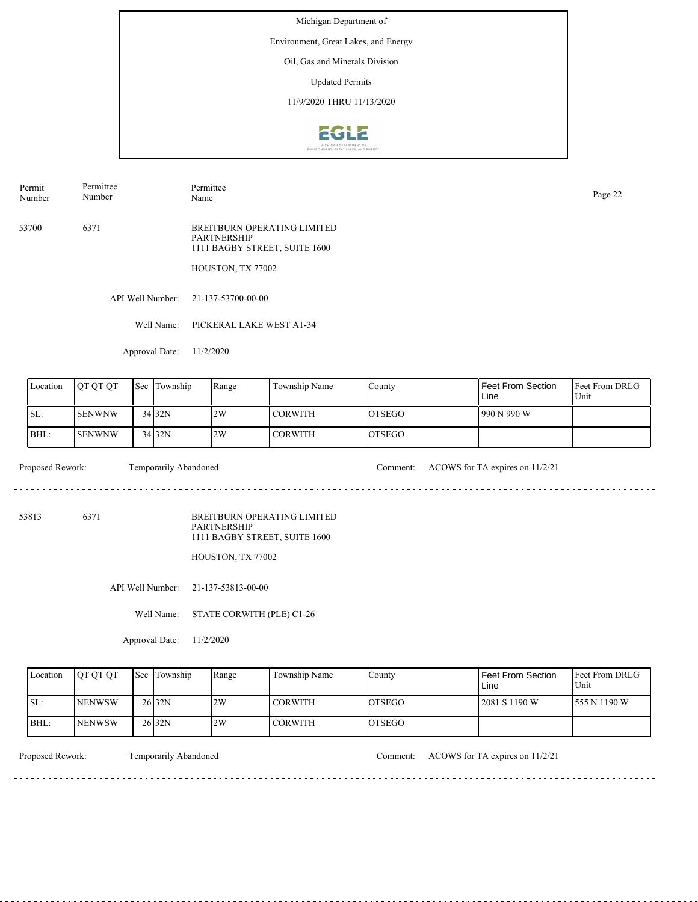Environment, Great Lakes, and Energy

Oil, Gas and Minerals Division

Updated Permits

11/9/2020 THRU 11/13/2020



Permit Number Permittee Number

Permittee Page 22<br>Name Page 22

53700 6371 BREITBURN OPERATING LIMITED PARTNERSHIP 1111 BAGBY STREET, SUITE 1600

HOUSTON, TX 77002

API Well Number: 21-137-53700-00-00

Well Name: PICKERAL LAKE WEST A1-34

Approval Date: 11/2/2020

| Location | <b>OT OT OT</b> | Sec | Township | Range | Township Name | County         | Feet From Section<br>Line | <b>Feet From DRLG</b><br>Unit |
|----------|-----------------|-----|----------|-------|---------------|----------------|---------------------------|-------------------------------|
| ISL:     | <b>SENWNW</b>   |     | 34 32N   | 2W    | CORWITH       | IOTSEGO        | 990 N 990 W               |                               |
| BHL:     | <b>SENWNW</b>   |     | $34$ 32N | 2W    | CORWITH       | <b>IOTSEGO</b> |                           |                               |

Proposed Rework: Temporarily Abandoned Comment: ACOWS for TA expires on 11/2/21

. . . . . . . . . . . . . . . . . . .

53813 6371

BREITBURN OPERATING LIMITED PARTNERSHIP 1111 BAGBY STREET, SUITE 1600

HOUSTON, TX 77002

API Well Number: 21-137-53813-00-00

Well Name: STATE CORWITH (PLE) C1-26

Approval Date: 11/2/2020

| Location | <b>OT OT OT</b> | <b>Sec</b> Township | Range | Township Name  | County  | Feet From Section<br>Line | <b>Feet From DRLG</b><br>Unit |
|----------|-----------------|---------------------|-------|----------------|---------|---------------------------|-------------------------------|
| ISL:     | <b>INENWSW</b>  | 26 <sub>32N</sub>   | 2W    | <b>CORWITH</b> | IOTSEGO | 2081 S 1190 W             | 1555 N 1190 W                 |
| BHL:     | <b>INENWSW</b>  | 26 <sub>32N</sub>   | 2W    | <b>CORWITH</b> | IOTSEGO |                           |                               |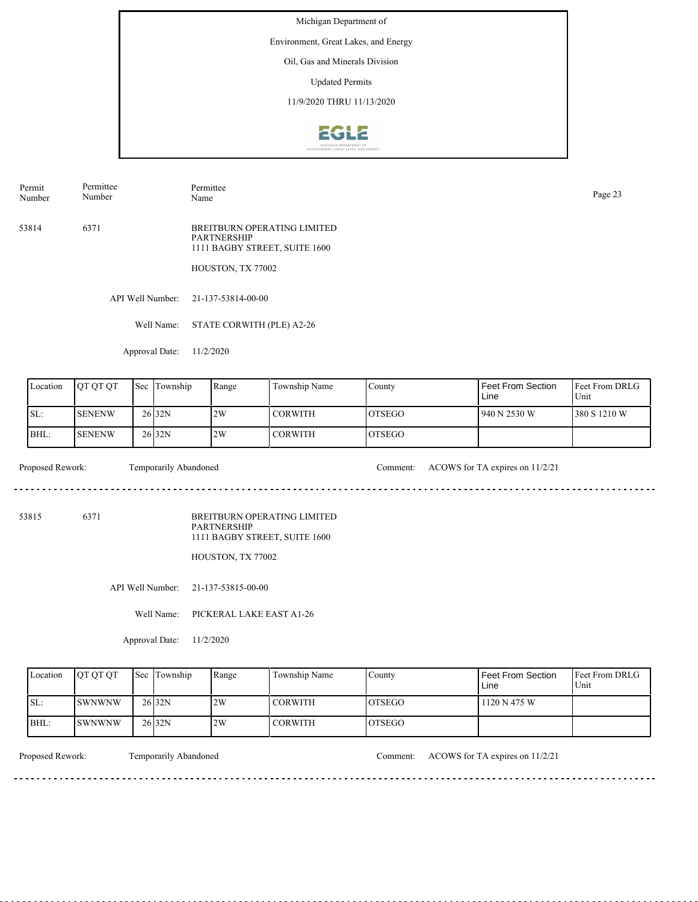Environment, Great Lakes, and Energy

Oil, Gas and Minerals Division

Updated Permits

11/9/2020 THRU 11/13/2020



Permit Number Permittee Number

Permittee Page 23<br>Name Page 23

53814 6371 BREITBURN OPERATING LIMITED PARTNERSHIP 1111 BAGBY STREET, SUITE 1600

HOUSTON, TX 77002

API Well Number: 21-137-53814-00-00

Well Name: STATE CORWITH (PLE) A2-26

Approval Date: 11/2/2020

| Location | <b>OT OT OT</b> | <b>Sec</b> | Township            | Range | Township Name  | County         | Feet From Section<br>Line | <b>Feet From DRLG</b><br>Unit |
|----------|-----------------|------------|---------------------|-------|----------------|----------------|---------------------------|-------------------------------|
| ISL:     | <b>SENENW</b>   |            | $26$ <sub>32N</sub> | 2W    | <b>CORWITH</b> | IOTSEGO        | 940 N 2530 W              | 380 S 1210 W                  |
| BHL:     | <b>SENENW</b>   |            | 26 <sub>32N</sub>   | 2W    | <b>CORWITH</b> | <b>IOTSEGO</b> |                           |                               |

Proposed Rework: Temporarily Abandoned Comment: ACOWS for TA expires on 11/2/21

53815 6371

BREITBURN OPERATING LIMITED PARTNERSHIP 1111 BAGBY STREET, SUITE 1600

HOUSTON, TX 77002

API Well Number: 21-137-53815-00-00

Well Name: PICKERAL LAKE EAST A1-26

Approval Date: 11/2/2020

| Location | <b>IOT OT OT</b> | <b>Sec Township</b> | Range | Township Name  | County  | <b>Feet From Section</b><br>∟ine | <b>Feet From DRLG</b><br>Unit |
|----------|------------------|---------------------|-------|----------------|---------|----------------------------------|-------------------------------|
| SL:      | <b>ISWNWNW</b>   | 26 <sub>32N</sub>   | 2W    | <b>CORWITH</b> | IOTSEGO | 1120 N 475 W                     |                               |
| BHL:     | ISWNWNW          | 26 <sub>32N</sub>   | 2W    | <b>CORWITH</b> | IOTSEGO |                                  |                               |

<u>. . . . . . . .</u>

Proposed Rework: Temporarily Abandoned Comment: ACOWS for TA expires on 11/2/21

. . . . . . . . . . . . . . . . . . . .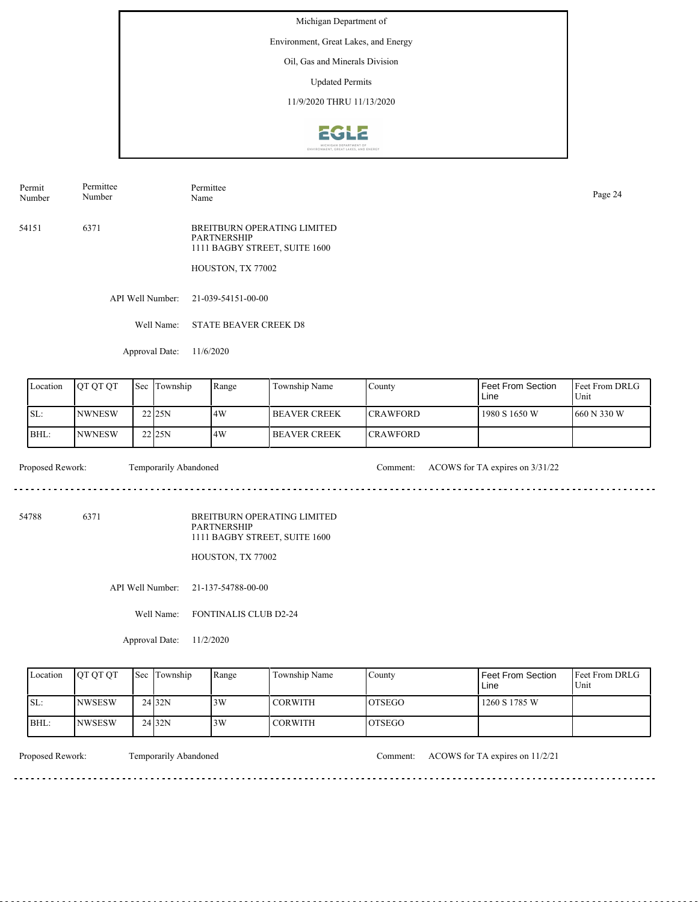Environment, Great Lakes, and Energy

Oil, Gas and Minerals Division

Updated Permits

11/9/2020 THRU 11/13/2020



Permit Number Permittee Number

Permittee Page 24<br>Name Page 24

54151 6371 BREITBURN OPERATING LIMITED PARTNERSHIP 1111 BAGBY STREET, SUITE 1600

HOUSTON, TX 77002

API Well Number: 21-039-54151-00-00

Well Name: STATE BEAVER CREEK D8

Approval Date: 11/6/2020

| Location | <b>OT OT OT</b> | Sec | Township | Range | Township Name        | County           | Feet From Section<br>Line | Feet From DRLG<br>Unit |
|----------|-----------------|-----|----------|-------|----------------------|------------------|---------------------------|------------------------|
| ISL:     | <b>INWNESW</b>  |     | 22125N   | 14W   | <b>IBEAVER CREEK</b> | <b>ICRAWFORD</b> | 1980 S 1650 W             | 1660 N 330 W           |
| BHL:     | <b>INWNESW</b>  |     | 22 25N   | 14W   | I BEAVER CREEK       | <b>ICRAWFORD</b> |                           |                        |

Proposed Rework: Temporarily Abandoned Comment: ACOWS for TA expires on  $3/31/22$ 

. . . . . . . . . . . . . . . . . . . .

54788 6371

BREITBURN OPERATING LIMITED PARTNERSHIP 1111 BAGBY STREET, SUITE 1600

HOUSTON, TX 77002

API Well Number: 21-137-54788-00-00

Well Name: FONTINALIS CLUB D2-24

Approval Date: 11/2/2020

| Location | <b>OT OT OT</b> | <b>Sec Township</b> | Range | Township Name  | County         | Feet From Section<br>∟ine | <b>Feet From DRLG</b><br>Unit |
|----------|-----------------|---------------------|-------|----------------|----------------|---------------------------|-------------------------------|
| ISL:     | <b>INWSESW</b>  | 24 <sub>32N</sub>   | 3W    | <b>CORWITH</b> | <b>IOTSEGO</b> | 1260 S 1785 W             |                               |
| IBHL:    | <b>NWSESW</b>   | 24 <sub>32N</sub>   | 3W    | <b>CORWITH</b> | IOTSEGO        |                           |                               |

<u>. . . . . . . .</u>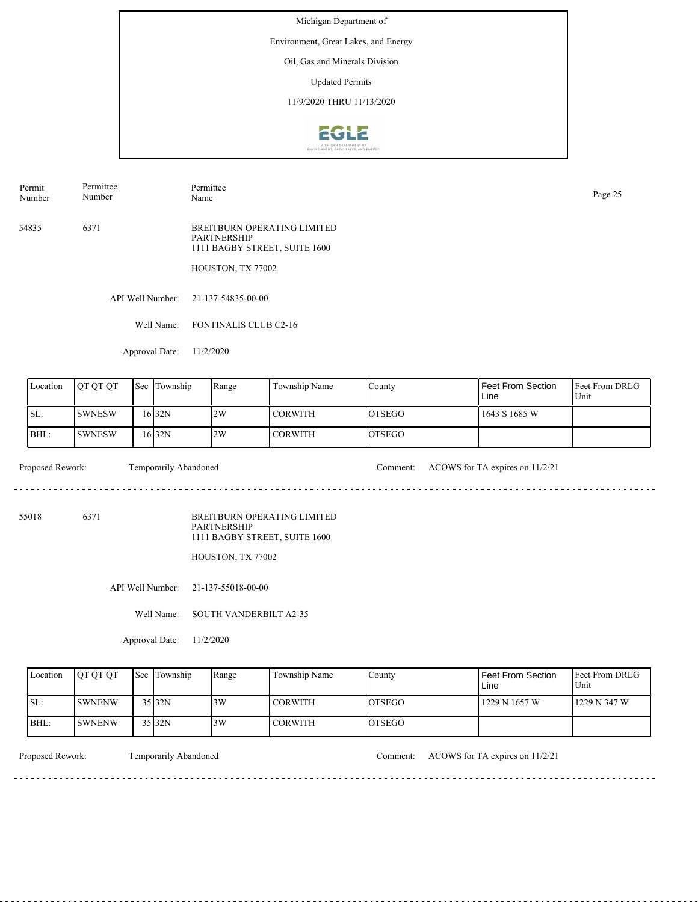Environment, Great Lakes, and Energy

Oil, Gas and Minerals Division

Updated Permits

11/9/2020 THRU 11/13/2020



Permit Number Permittee Number

Permittee Page 25<br>Name Page 25

54835 6371 BREITBURN OPERATING LIMITED PARTNERSHIP 1111 BAGBY STREET, SUITE 1600

HOUSTON, TX 77002

API Well Number: 21-137-54835-00-00

Well Name: FONTINALIS CLUB C2-16

Approval Date: 11/2/2020

| Location | <b>IOT OT OT</b> | <b>Sec</b> Township | Range | Township Name | County         | Feet From Section<br>Line | <b>Feet From DRLG</b><br>Unit |
|----------|------------------|---------------------|-------|---------------|----------------|---------------------------|-------------------------------|
| ISL:     | <b>ISWNESW</b>   | 16 32N              | 2W    | I CORWITH     | <b>IOTSEGO</b> | 1643 S 1685 W             |                               |
| BHL:     | ISWNESW          | 16 32N              | 2W    | I CORWITH     | <b>IOTSEGO</b> |                           |                               |

Proposed Rework: Temporarily Abandoned Comment: ACOWS for TA expires on 11/2/21

. . . . . . . . . . . . . . . . . . .

55018 6371

BREITBURN OPERATING LIMITED PARTNERSHIP 1111 BAGBY STREET, SUITE 1600

HOUSTON, TX 77002

API Well Number: 21-137-55018-00-00

Well Name: SOUTH VANDERBILT A2-35

Approval Date: 11/2/2020

| Location | <b>OT OT OT</b> | <b>Sec</b> Township | Range | Township Name  | County  | Feet From Section<br>Line | <b>Feet From DRLG</b><br>Unit |
|----------|-----------------|---------------------|-------|----------------|---------|---------------------------|-------------------------------|
| ISL:     | <b>ISWNENW</b>  | $35$ <sub>32N</sub> | 3W    | <b>CORWITH</b> | IOTSEGO | 1229 N 1657 W             | 1229 N 347 W                  |
| BHL:     | <b>SWNENW</b>   | $35$ <sub>32N</sub> | 3W    | <b>CORWITH</b> | IOTSEGO |                           |                               |

Proposed Rework: Temporarily Abandoned Comment: ACOWS for TA expires on 11/2/21

<u>. . . . . . . .</u>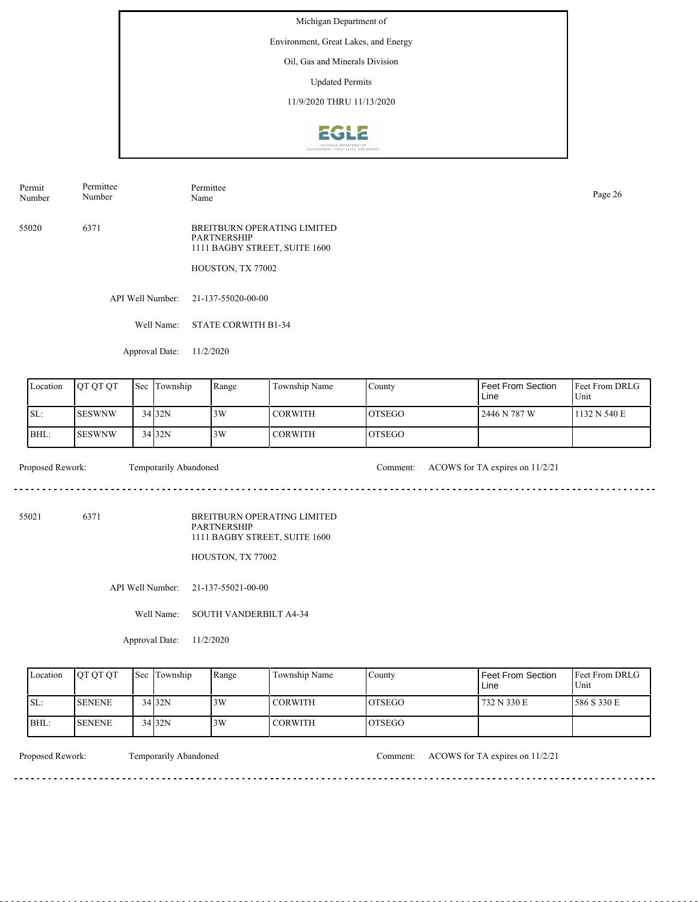Environment, Great Lakes, and Energy

Oil, Gas and Minerals Division

Updated Permits

11/9/2020 THRU 11/13/2020



Permit Number Permittee Number

Permittee Page 26<br>Name Page 26

55020 6371 BREITBURN OPERATING LIMITED PARTNERSHIP 1111 BAGBY STREET, SUITE 1600

HOUSTON, TX 77002

API Well Number: 21-137-55020-00-00

Well Name: STATE CORWITH B1-34

Approval Date: 11/2/2020

| Location | <b>IOT OT OT</b> | <b>Sec</b> | Township | Range | Township Name  | County         | Feet From Section<br>Line | <b>Feet From DRLG</b><br>Unit |
|----------|------------------|------------|----------|-------|----------------|----------------|---------------------------|-------------------------------|
| SL:      | <b>ISESWNW</b>   |            | 34 32N   | 3W    | I CORWITH      | <b>IOTSEGO</b> | 2446 N 787 W              | 1132 N 540 E                  |
| BHL:     | ISESWNW          |            | $34$ 32N | 3W    | <b>CORWITH</b> | <b>IOTSEGO</b> |                           |                               |

Proposed Rework: Temporarily Abandoned Comment: ACOWS for TA expires on 11/2/21

. . . . . . . . . . . . . . . . . . .

55021 6371

BREITBURN OPERATING LIMITED PARTNERSHIP 1111 BAGBY STREET, SUITE 1600

HOUSTON, TX 77002

API Well Number: 21-137-55021-00-00

Well Name: SOUTH VANDERBILT A4-34

Approval Date: 11/2/2020

| Location | <b>OT OT OT</b> | <b>Sec</b> Township | Range | Township Name  | County  | Feet From Section<br>Line | <b>Feet From DRLG</b><br>Unit |
|----------|-----------------|---------------------|-------|----------------|---------|---------------------------|-------------------------------|
| ISL:     | <b>ISENENE</b>  | 34 32N              | 3W    | <b>CORWITH</b> | IOTSEGO | 732 N 330 E               | 586 S 330 E                   |
| BHL:     | <b>ISENENE</b>  | $34$ 32N            | 3W    | <b>CORWITH</b> | IOTSEGO |                           |                               |

<u>. . . . . . . .</u>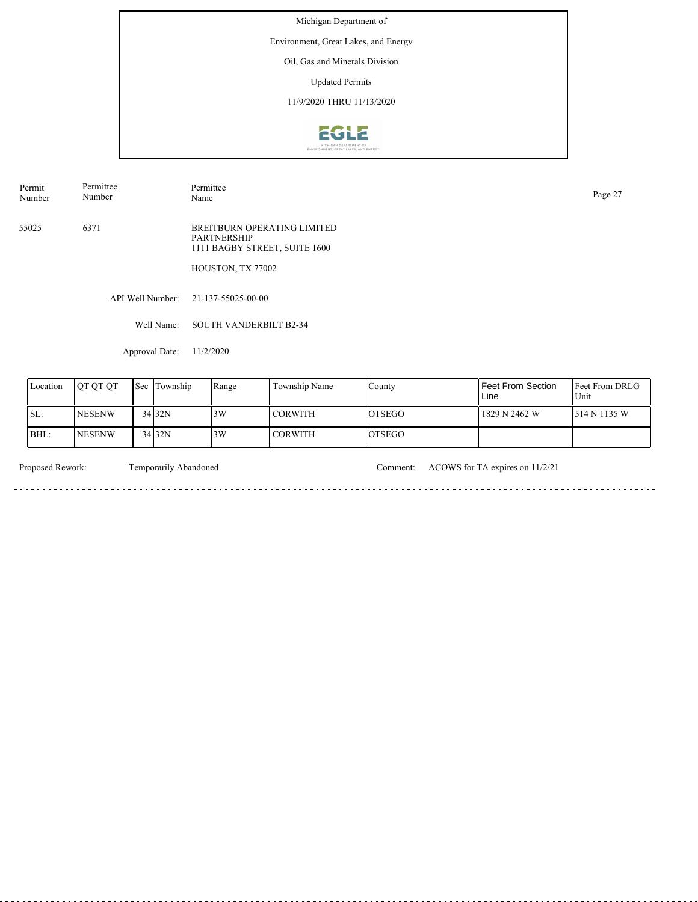Environment, Great Lakes, and Energy

Oil, Gas and Minerals Division

Updated Permits

11/9/2020 THRU 11/13/2020



Permit Number Permittee Number

Permittee Page 27<br>Name Page 27

55025 6371 BREITBURN OPERATING LIMITED PARTNERSHIP 1111 BAGBY STREET, SUITE 1600

HOUSTON, TX 77002

API Well Number: 21-137-55025-00-00

Well Name: SOUTH VANDERBILT B2-34

Approval Date: 11/2/2020

| Location | <b>OT OT OT</b> | Sec Township | Range | Township Name  | County         | Feet From Section<br>Line | <b>IFeet From DRLG</b><br>Unit |
|----------|-----------------|--------------|-------|----------------|----------------|---------------------------|--------------------------------|
| SL:      | <b>INESENW</b>  | 34 32N       | 3W    | <b>CORWITH</b> | IOTSEGO        | 1829 N 2462 W             | 1514 N 1135 W                  |
| BHL:     | <b>INESENW</b>  | 34 32N       | 3W    | CORWITH        | <b>IOTSEGO</b> |                           |                                |

. . . . . . . . . . . . . . . . .

 $\sim$ 

Proposed Rework: Temporarily Abandoned Comment: ACOWS for TA expires on 11/2/21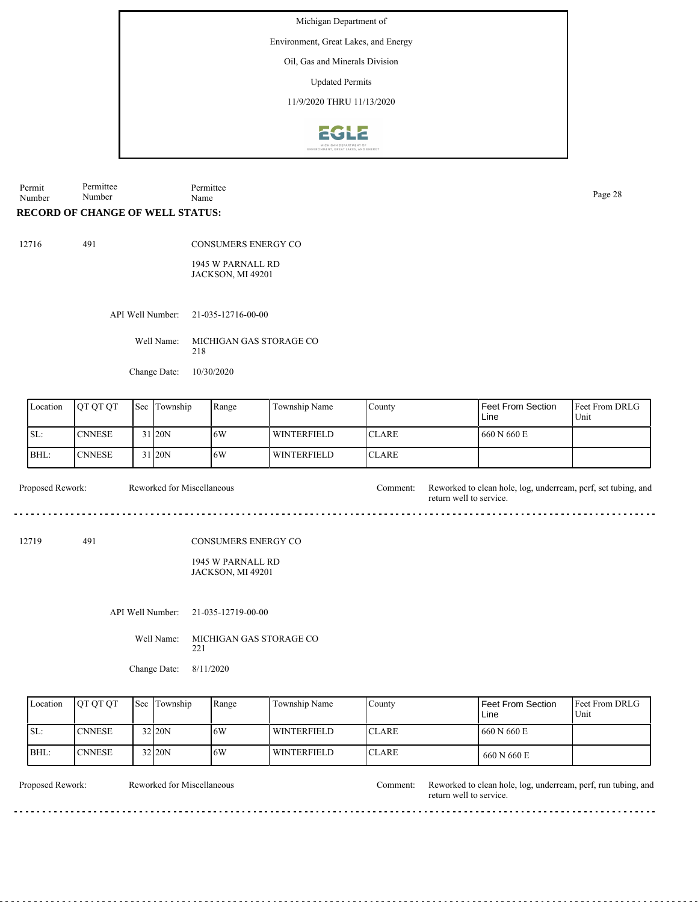Environment, Great Lakes, and Energy

Oil, Gas and Minerals Division

Updated Permits

11/9/2020 THRU 11/13/2020



Permit Number Permittee Number Permittee Page 28<br>Name Page 28

## **RECORD OF CHANGE OF WELL STATUS:**

491

CONSUMERS ENERGY CO

1945 W PARNALL RD JACKSON, MI 49201

API Well Number: 21-035-12716-00-00

Well Name: MICHIGAN GAS STORAGE CO 218

Change Date: 10/30/2020

Reworked for Miscellaneous

| Location | <b>IOT OT OT</b> | Sec Township | Range | Township Name      | County        | Feet From Section<br>Line | <b>Feet From DRLG</b><br>Unit |
|----------|------------------|--------------|-------|--------------------|---------------|---------------------------|-------------------------------|
| ISL:     | <b>CNNESE</b>    | 31 20N       | 16W   | <b>WINTERFIELD</b> | ICLARE        | 660 N 660 E               |                               |
| BHL:     | <b>CNNESE</b>    | 31 20N       | 16W   | <b>WINTERFIELD</b> | <b>ICLARE</b> |                           |                               |

Proposed Rework: Reworked for Miscellaneous Comment: Reworked to clean hole, log, underream, perf, set tubing, and

12719 491

CONSUMERS ENERGY CO

1945 W PARNALL RD JACKSON, MI 49201

API Well Number: 21-035-12719-00-00

Well Name: MICHIGAN GAS STORAGE CO 221

Change Date: 8/11/2020

| Location | <b>OT OT OT</b> | <b>Sec</b> Township | Range | Township Name | County        | <b>Feet From Section</b><br>Line | <b>Feet From DRLG</b><br>Unit |
|----------|-----------------|---------------------|-------|---------------|---------------|----------------------------------|-------------------------------|
| SL:      | <b>CNNESE</b>   | 32 20N              | 16W   | WINTERFIELD   | <b>ICLARE</b> | 660 N 660 E                      |                               |
| BHL:     | <b>CNNESE</b>   | 32 20N              | 16W   | WINTERFIELD   | <b>ICLARE</b> | 660 N 660 E                      |                               |

Reworked for Miscellaneous

Proposed Rework: Reworked for Miscellaneous Comment: Reworked to clean hole, log, underream, perf, run tubing, and return well to service.

return well to service.

 $- - - -$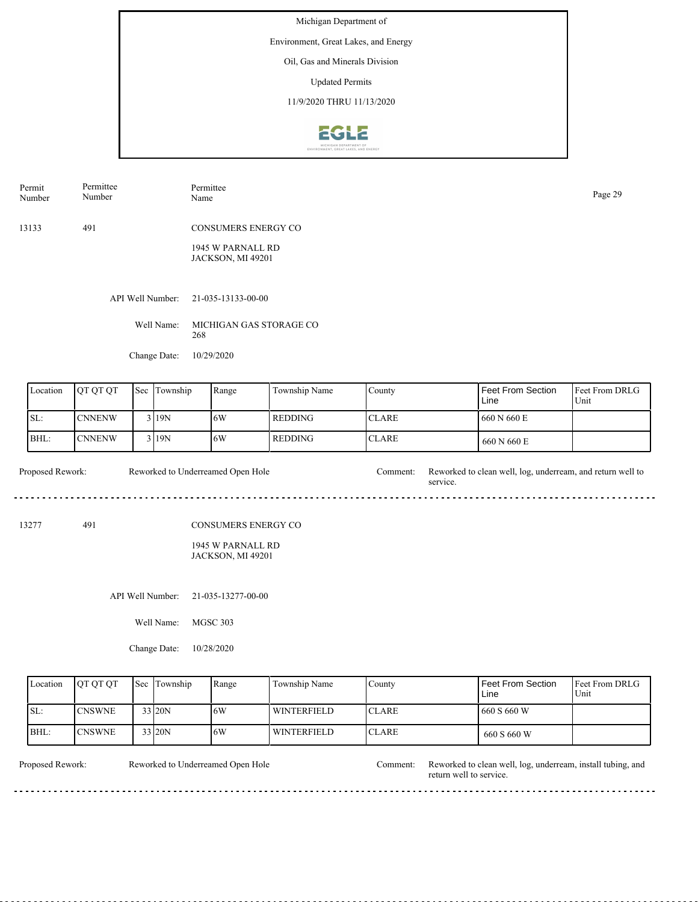Environment, Great Lakes, and Energy

Oil, Gas and Minerals Division

Updated Permits

11/9/2020 THRU 11/13/2020



| Permit<br>Number | Permittee<br>Number | Permittee<br>Name                             | Page 29 |
|------------------|---------------------|-----------------------------------------------|---------|
| 13133            | 491                 | CONSUMERS ENERGY CO                           |         |
|                  |                     | 1945 W PARNALL RD<br><b>JACKSON, MI 49201</b> |         |
|                  | API Well Number:    | 21-035-13133-00-00                            |         |
|                  | Well Name:          | MICHIGAN GAS STORAGE CO<br>268                |         |
|                  | Change Date:        | 10/29/2020                                    |         |
|                  |                     |                                               |         |

| Location | <b>IOTOTOT</b> | Sec Township | Range | Township Name  | County        | Feet From Section<br>Line | <b>IFeet From DRLG</b><br>Unit |
|----------|----------------|--------------|-------|----------------|---------------|---------------------------|--------------------------------|
| ISL:     | <b>CNNENW</b>  | 3 19N        | 16W   | <b>REDDING</b> | <b>ICLARE</b> | 660 N 660 E               |                                |
| BHL:     | <b>CNNENW</b>  | $3$  19N     | 16W   | REDDING-       | <b>ICLARE</b> | 660 N 660 E               |                                |

Proposed Rework: Reworked to Underreamed Open Hole Comment: Reworked to clean well, log, underream, and return well to service. Reworked to Underreamed Open Hole

13277 491

### CONSUMERS ENERGY CO

1945 W PARNALL RD JACKSON, MI 49201

API Well Number: 21-035-13277-00-00

Well Name: MGSC 303

Change Date: 10/28/2020

| Location | <b>IOT OT OT</b> | <b>Sec</b> Township | Range | Township Name | County        | Feet From Section<br>Line | <b>Feet From DRLG</b><br>Unit |
|----------|------------------|---------------------|-------|---------------|---------------|---------------------------|-------------------------------|
| ISL:     | <b>CNSWNE</b>    | 33 20N              | 16W   | l winterfield | ICLARE        | 660 S 660 W               |                               |
| BHL:     | <b>CNSWNE</b>    | 33 20N              | 16W   | l winterfield | <b>ICLARE</b> | 660 S 660 W               |                               |

Reworked to Underreamed Open Hole

Proposed Rework: Reworked to Underreamed Open Hole Comment: Reworked to clean well, log, underream, install tubing, and return well to service.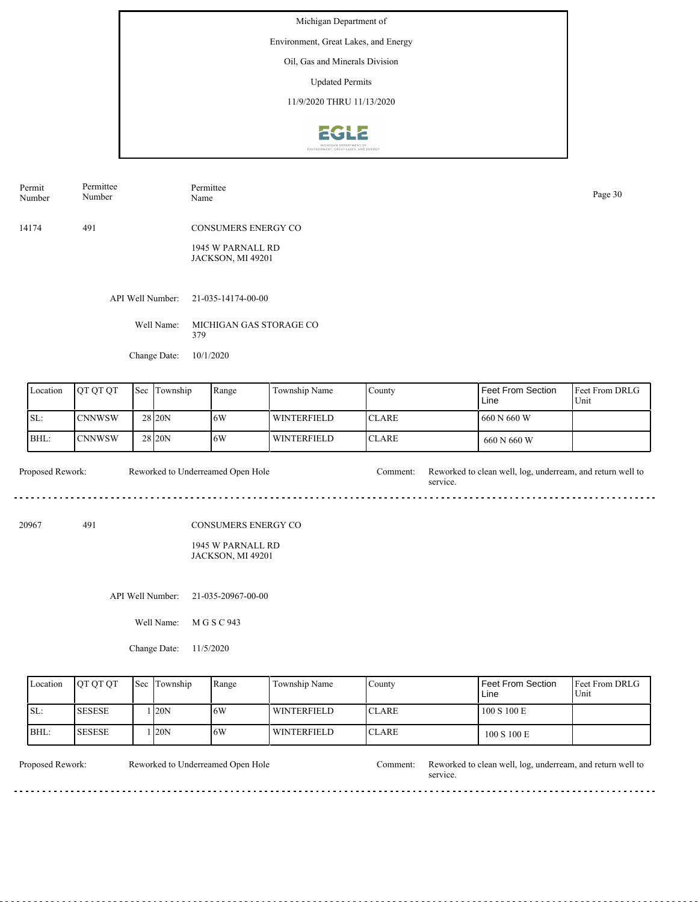Environment, Great Lakes, and Energy

Oil, Gas and Minerals Division

Updated Permits

11/9/2020 THRU 11/13/2020



| Permit<br>Number | Permittee<br>Number | Permittee<br>Name |                                                               |               |        |                           | Page 30               |
|------------------|---------------------|-------------------|---------------------------------------------------------------|---------------|--------|---------------------------|-----------------------|
| 14174            | 491                 |                   | CONSUMERS ENERGY CO<br>1945 W PARNALL RD<br>JACKSON, MI 49201 |               |        |                           |                       |
|                  | API Well Number:    |                   | 21-035-14174-00-00                                            |               |        |                           |                       |
|                  |                     | Well Name:<br>379 | MICHIGAN GAS STORAGE CO                                       |               |        |                           |                       |
|                  | Change Date:        | 10/1/2020         |                                                               |               |        |                           |                       |
| Location         | QT QT QT<br>Sec     | Township          | Range                                                         | Township Name | County | Feet From Section<br>Line | Feet From DRI<br>Unit |

| Location | <b>OT OT OT</b> | <b>Sec</b> Township | Range | Township Name      | County        | <b>Feet From Section</b><br>Line | <b>Feet From DRLG</b><br>Unit |
|----------|-----------------|---------------------|-------|--------------------|---------------|----------------------------------|-------------------------------|
| SL:      | <b>ICNNWSW</b>  | 28 <sub>20N</sub>   | 16W   | <b>WINTERFIELD</b> | <b>ICLARE</b> | 660 N 660 W                      |                               |
| BHL:     | <b>CNNWSW</b>   | 28 20N              | 16W   | <b>WINTERFIELD</b> | <b>ICLARE</b> | 660 N 660 W                      |                               |

Proposed Rework: Reworked to Underreamed Open Hole Comment: Reworked to clean well, log, underream, and return well to service. Reworked to Underreamed Open Hole

20967 491

### CONSUMERS ENERGY CO

1945 W PARNALL RD JACKSON, MI 49201

API Well Number: 21-035-20967-00-00

Well Name: M G S C 943

Change Date: 11/5/2020

| Location | <b>IOT OT OT</b> | <b>Sec Township</b> | Range | Township Name | County        | Feet From Section<br>Line | Feet From DRLG<br>Unit |
|----------|------------------|---------------------|-------|---------------|---------------|---------------------------|------------------------|
| ISL:     | <b>SESESE</b>    | 120N                | 16W   | l winterfield | <b>ICLARE</b> | 100 S 100 E               |                        |
| BHL:     | <b>SESESE</b>    | 120N                | 16W   | l winterfield | <b>ICLARE</b> | 100 S 100 E               |                        |

Reworked to Underreamed Open Hole

Proposed Rework: Reworked to Underreamed Open Hole Comment: Reworked to clean well, log, underream, and return well to service.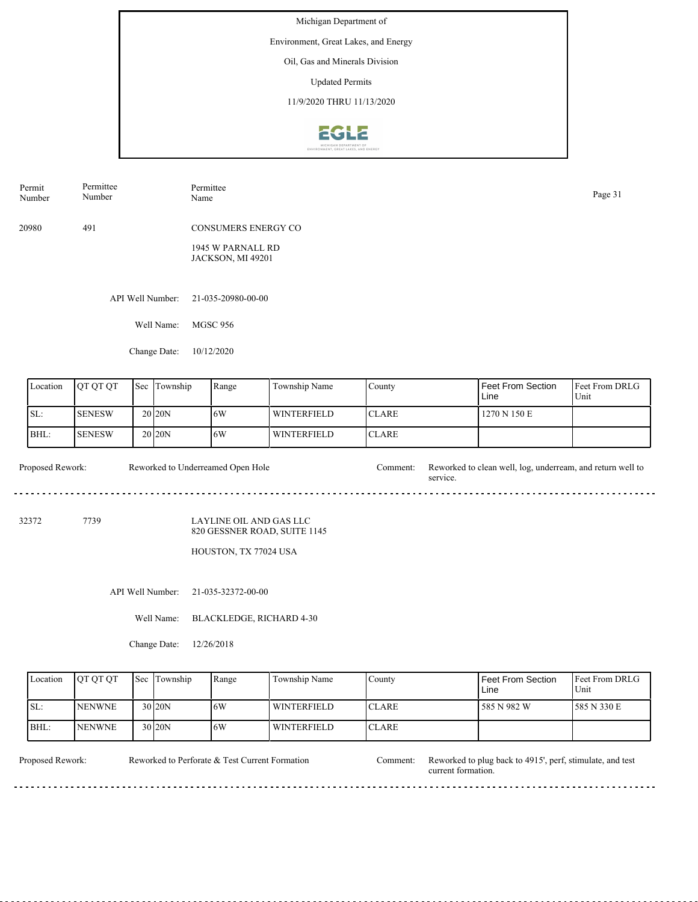Environment, Great Lakes, and Energy

Oil, Gas and Minerals Division

Updated Permits

11/9/2020 THRU 11/13/2020



| Permit<br>Number | Permittee<br>Number | Permittee<br>Name                      | Page 31 |
|------------------|---------------------|----------------------------------------|---------|
| 20980            | 491                 | <b>CONSUMERS ENERGY CO</b>             |         |
|                  |                     | 1945 W PARNALL RD<br>JACKSON, MI 49201 |         |
|                  | API Well Number:    | 21-035-20980-00-00                     |         |
|                  | Well Name:          | MGSC 956                               |         |
|                  | Change Date:        | 10/12/2020                             |         |

| Location | IOT OT OT      | Sec Township        | Range | Township Name      | County        | <b>Feet From Section</b><br>Line | <b>Feet From DRLG</b><br>Unit |
|----------|----------------|---------------------|-------|--------------------|---------------|----------------------------------|-------------------------------|
| SL:      | <b>ISENESW</b> | 20 <sub>120</sub> N | 16W   | <b>WINTERFIELD</b> | <b>ICLARE</b> | 1270 N 150 E                     |                               |
| BHL:     | <b>SENESW</b>  | 20 <sub>120</sub> N | 16W   | <b>WINTERFIELD</b> | <b>ICLARE</b> |                                  |                               |

Proposed Rework: Reworked to Underreamed Open Hole Comment: Reworked to clean well, log, underream, and return well to Reworked to Underreamed Open Hole service. <u>. . . . . . . . . . . .</u>

32372 7739

LAYLINE OIL AND GAS LLC 820 GESSNER ROAD, SUITE 1145

HOUSTON, TX 77024 USA

API Well Number: 21-035-32372-00-00

Well Name: BLACKLEDGE, RICHARD 4-30

Change Date: 12/26/2018

| Location | <b>IOT OT OT</b> | <b>Sec</b> Township | Range | Township Name      | County        | <b>Feet From Section</b><br>Line | <b>Feet From DRLG</b><br>Unit |
|----------|------------------|---------------------|-------|--------------------|---------------|----------------------------------|-------------------------------|
| ISL:     | <b>NENWNE</b>    | 30 <sub>20N</sub>   | 6W    | <b>WINTERFIELD</b> | <b>ICLARE</b> | 585 N 982 W                      | 585 N 330 E                   |
| BHL:     | <b>NENWNE</b>    | 30 <sub>20N</sub>   | 16W   | <b>WINTERFIELD</b> | <b>ICLARE</b> |                                  |                               |

Reworked to Perforate & Test Current Formation

Proposed Rework: Reworked to Perforate & Test Current Formation Comment: Reworked to plug back to 4915', perf, stimulate, and test current formation.

 $- - - - - -$ 

 $- - - - -$